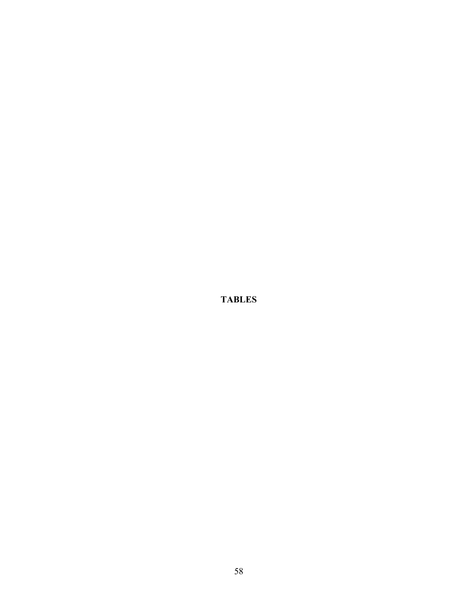**TABLES**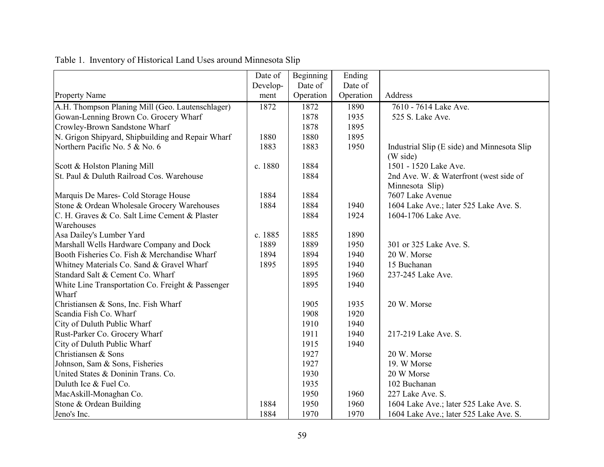|                                                   | Date of  | Beginning | Ending    |                                             |
|---------------------------------------------------|----------|-----------|-----------|---------------------------------------------|
|                                                   | Develop- | Date of   | Date of   |                                             |
| <b>Property Name</b>                              | ment     | Operation | Operation | Address                                     |
| A.H. Thompson Planing Mill (Geo. Lautenschlager)  | 1872     | 1872      | 1890      | 7610 - 7614 Lake Ave.                       |
| Gowan-Lenning Brown Co. Grocery Wharf             |          | 1878      | 1935      | 525 S. Lake Ave.                            |
| Crowley-Brown Sandstone Wharf                     |          | 1878      | 1895      |                                             |
| N. Grigon Shipyard, Shipbuilding and Repair Wharf | 1880     | 1880      | 1895      |                                             |
| Northern Pacific No. 5 & No. 6                    | 1883     | 1883      | 1950      | Industrial Slip (E side) and Minnesota Slip |
|                                                   |          |           |           | (W side)                                    |
| Scott & Holston Planing Mill                      | c. 1880  | 1884      |           | 1501 - 1520 Lake Ave.                       |
| St. Paul & Duluth Railroad Cos. Warehouse         |          | 1884      |           | 2nd Ave. W. & Waterfront (west side of      |
|                                                   |          |           |           | Minnesota Slip)                             |
| Marquis De Mares- Cold Storage House              | 1884     | 1884      |           | 7607 Lake Avenue                            |
| Stone & Ordean Wholesale Grocery Warehouses       | 1884     | 1884      | 1940      | 1604 Lake Ave.; later 525 Lake Ave. S.      |
| C. H. Graves & Co. Salt Lime Cement & Plaster     |          | 1884      | 1924      | 1604-1706 Lake Ave.                         |
| Warehouses                                        |          |           |           |                                             |
| Asa Dailey's Lumber Yard                          | c. 1885  | 1885      | 1890      |                                             |
| Marshall Wells Hardware Company and Dock          | 1889     | 1889      | 1950      | 301 or 325 Lake Ave. S.                     |
| Booth Fisheries Co. Fish & Merchandise Wharf      | 1894     | 1894      | 1940      | 20 W. Morse                                 |
| Whitney Materials Co. Sand & Gravel Wharf         | 1895     | 1895      | 1940      | 15 Buchanan                                 |
| Standard Salt & Cement Co. Wharf                  |          | 1895      | 1960      | 237-245 Lake Ave.                           |
| White Line Transportation Co. Freight & Passenger |          | 1895      | 1940      |                                             |
| Wharf                                             |          |           |           |                                             |
| Christiansen & Sons, Inc. Fish Wharf              |          | 1905      | 1935      | 20 W. Morse                                 |
| Scandia Fish Co. Wharf                            |          | 1908      | 1920      |                                             |
| City of Duluth Public Wharf                       |          | 1910      | 1940      |                                             |
| Rust-Parker Co. Grocery Wharf                     |          | 1911      | 1940      | 217-219 Lake Ave. S.                        |
| City of Duluth Public Wharf                       |          | 1915      | 1940      |                                             |
| Christiansen & Sons                               |          | 1927      |           | 20 W. Morse                                 |
| Johnson, Sam & Sons, Fisheries                    |          | 1927      |           | 19. W Morse                                 |
| United States & Doninin Trans. Co.                |          | 1930      |           | 20 W Morse                                  |
| Duluth Ice & Fuel Co.                             |          | 1935      |           | 102 Buchanan                                |
| MacAskill-Monaghan Co.                            |          | 1950      | 1960      | 227 Lake Ave. S.                            |
| Stone & Ordean Building                           | 1884     | 1950      | 1960      | 1604 Lake Ave.; later 525 Lake Ave. S.      |
| Jeno's Inc.                                       | 1884     | 1970      | 1970      | 1604 Lake Ave.; later 525 Lake Ave. S.      |

# Table 1. Inventory of Historical Land Uses around Minnesota Slip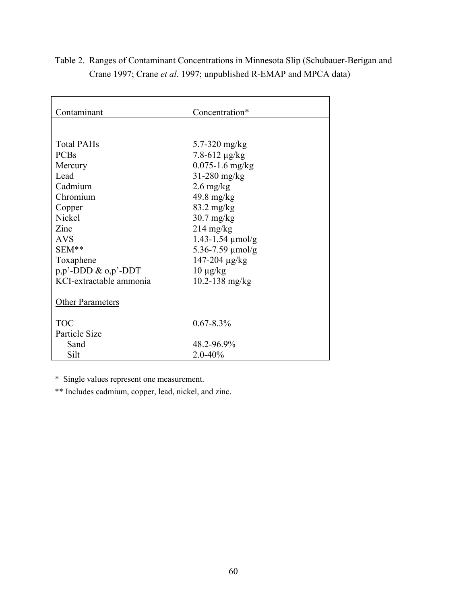| Contaminant                 | Concentration*                 |
|-----------------------------|--------------------------------|
|                             |                                |
|                             |                                |
| <b>Total PAHs</b>           | 5.7-320 mg/kg                  |
| <b>PCBs</b>                 | $7.8 - 612 \mu g/kg$           |
| Mercury                     | $0.075 - 1.6$ mg/kg            |
| Lead                        | $31-280$ mg/kg                 |
| Cadmium                     | $2.6 \text{ mg/kg}$            |
| Chromium                    | $49.8 \text{ mg/kg}$           |
| Copper                      | $83.2 \text{ mg/kg}$           |
| <b>Nickel</b>               | $30.7$ mg/kg                   |
| Zinc                        | $214 \text{ mg/kg}$            |
| <b>AVS</b>                  | $1.43 - 1.54 \mu \text{mol/g}$ |
| SEM**                       | 5.36-7.59 $\mu$ mol/g          |
| Toxaphene                   | $147 - 204 \mu g/kg$           |
| $p, p'$ -DDD & $o, p'$ -DDT | $10 \mu g/kg$                  |
| KCI-extractable ammonia     | $10.2 - 138$ mg/kg             |
| <b>Other Parameters</b>     |                                |
| <b>TOC</b>                  | $0.67 - 8.3\%$                 |
| Particle Size               |                                |
| Sand                        | 48.2-96.9%                     |
| Silt                        | $2.0 - 40%$                    |

Table 2. Ranges of Contaminant Concentrations in Minnesota Slip (Schubauer-Berigan and Crane 1997; Crane *et al*. 1997; unpublished R-EMAP and MPCA data)

\* Single values represent one measurement.

\*\* Includes cadmium, copper, lead, nickel, and zinc.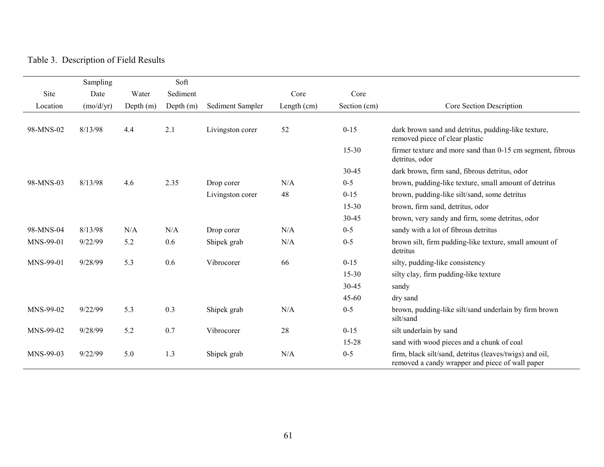## Table 3. Description of Field Results

|           | Sampling  |           | Soft        |                  |             |              |                                                                                                            |
|-----------|-----------|-----------|-------------|------------------|-------------|--------------|------------------------------------------------------------------------------------------------------------|
| Site      | Date      | Water     | Sediment    |                  | Core        | Core         |                                                                                                            |
| Location  | (mo/d/yr) | Depth (m) | Depth $(m)$ | Sediment Sampler | Length (cm) | Section (cm) | Core Section Description                                                                                   |
|           |           |           |             |                  |             |              |                                                                                                            |
| 98-MNS-02 | 8/13/98   | 4.4       | 2.1         | Livingston corer | 52          | $0 - 15$     | dark brown sand and detritus, pudding-like texture,<br>removed piece of clear plastic                      |
|           |           |           |             |                  |             | $15 - 30$    | firmer texture and more sand than 0-15 cm segment, fibrous<br>detritus, odor                               |
|           |           |           |             |                  |             | 30-45        | dark brown, firm sand, fibrous detritus, odor                                                              |
| 98-MNS-03 | 8/13/98   | 4.6       | 2.35        | Drop corer       | N/A         | $0-5$        | brown, pudding-like texture, small amount of detritus                                                      |
|           |           |           |             | Livingston corer | 48          | $0 - 15$     | brown, pudding-like silt/sand, some detritus                                                               |
|           |           |           |             |                  |             | $15 - 30$    | brown, firm sand, detritus, odor                                                                           |
|           |           |           |             |                  |             | 30-45        | brown, very sandy and firm, some detritus, odor                                                            |
| 98-MNS-04 | 8/13/98   | N/A       | N/A         | Drop corer       | N/A         | $0 - 5$      | sandy with a lot of fibrous detritus                                                                       |
| MNS-99-01 | 9/22/99   | 5.2       | 0.6         | Shipek grab      | N/A         | $0 - 5$      | brown silt, firm pudding-like texture, small amount of<br>detritus                                         |
| MNS-99-01 | 9/28/99   | 5.3       | 0.6         | Vibrocorer       | 66          | $0 - 15$     | silty, pudding-like consistency                                                                            |
|           |           |           |             |                  |             | 15-30        | silty clay, firm pudding-like texture                                                                      |
|           |           |           |             |                  |             | 30-45        | sandy                                                                                                      |
|           |           |           |             |                  |             | 45-60        | dry sand                                                                                                   |
| MNS-99-02 | 9/22/99   | 5.3       | 0.3         | Shipek grab      | N/A         | $0 - 5$      | brown, pudding-like silt/sand underlain by firm brown<br>silt/sand                                         |
| MNS-99-02 | 9/28/99   | 5.2       | 0.7         | Vibrocorer       | 28          | $0 - 15$     | silt underlain by sand                                                                                     |
|           |           |           |             |                  |             | 15-28        | sand with wood pieces and a chunk of coal                                                                  |
| MNS-99-03 | 9/22/99   | 5.0       | 1.3         | Shipek grab      | N/A         | $0 - 5$      | firm, black silt/sand, detritus (leaves/twigs) and oil,<br>removed a candy wrapper and piece of wall paper |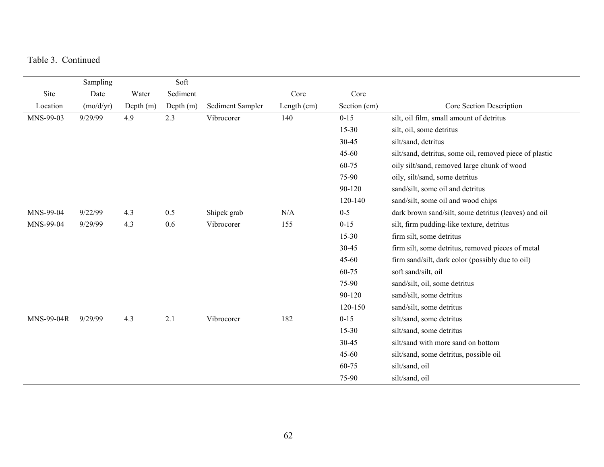Table 3. Continued

|                   | Sampling  |             | Soft        |                  |               |              |                                                         |
|-------------------|-----------|-------------|-------------|------------------|---------------|--------------|---------------------------------------------------------|
| Site              | Date      | Water       | Sediment    |                  | Core          | Core         |                                                         |
| Location          | (mo/d/yr) | Depth $(m)$ | Depth $(m)$ | Sediment Sampler | Length $(cm)$ | Section (cm) | Core Section Description                                |
| MNS-99-03         | 9/29/99   | 4.9         | 2.3         | Vibrocorer       | 140           | $0 - 15$     | silt, oil film, small amount of detritus                |
|                   |           |             |             |                  |               | $15 - 30$    | silt, oil, some detritus                                |
|                   |           |             |             |                  |               | 30-45        | silt/sand, detritus                                     |
|                   |           |             |             |                  |               | 45-60        | silt/sand, detritus, some oil, removed piece of plastic |
|                   |           |             |             |                  |               | 60-75        | oily silt/sand, removed large chunk of wood             |
|                   |           |             |             |                  |               | 75-90        | oily, silt/sand, some detritus                          |
|                   |           |             |             |                  |               | 90-120       | sand/silt, some oil and detritus                        |
|                   |           |             |             |                  |               | 120-140      | sand/silt, some oil and wood chips                      |
| MNS-99-04         | 9/22/99   | 4.3         | 0.5         | Shipek grab      | N/A           | $0 - 5$      | dark brown sand/silt, some detritus (leaves) and oil    |
| MNS-99-04         | 9/29/99   | 4.3         | 0.6         | Vibrocorer       | 155           | $0 - 15$     | silt, firm pudding-like texture, detritus               |
|                   |           |             |             |                  |               | $15 - 30$    | firm silt, some detritus                                |
|                   |           |             |             |                  |               | 30-45        | firm silt, some detritus, removed pieces of metal       |
|                   |           |             |             |                  |               | $45 - 60$    | firm sand/silt, dark color (possibly due to oil)        |
|                   |           |             |             |                  |               | 60-75        | soft sand/silt, oil                                     |
|                   |           |             |             |                  |               | 75-90        | sand/silt, oil, some detritus                           |
|                   |           |             |             |                  |               | 90-120       | sand/silt, some detritus                                |
|                   |           |             |             |                  |               | 120-150      | sand/silt, some detritus                                |
| <b>MNS-99-04R</b> | 9/29/99   | 4.3         | 2.1         | Vibrocorer       | 182           | $0 - 15$     | silt/sand, some detritus                                |
|                   |           |             |             |                  |               | $15 - 30$    | silt/sand, some detritus                                |
|                   |           |             |             |                  |               | 30-45        | silt/sand with more sand on bottom                      |
|                   |           |             |             |                  |               | $45 - 60$    | silt/sand, some detritus, possible oil                  |
|                   |           |             |             |                  |               | 60-75        | silt/sand, oil                                          |
|                   |           |             |             |                  |               | 75-90        | silt/sand, oil                                          |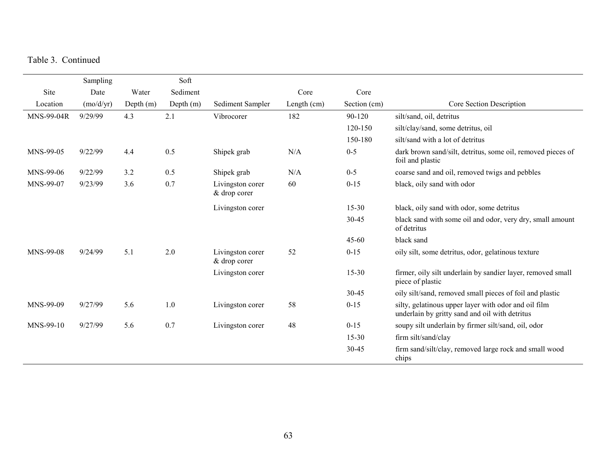Table 3. Continued

|            | Sampling  |             | Soft        |                                  |             |              |                                                                                                        |
|------------|-----------|-------------|-------------|----------------------------------|-------------|--------------|--------------------------------------------------------------------------------------------------------|
| Site       | Date      | Water       | Sediment    |                                  | Core        | Core         |                                                                                                        |
| Location   | (mo/d/yr) | Depth $(m)$ | Depth $(m)$ | Sediment Sampler                 | Length (cm) | Section (cm) | Core Section Description                                                                               |
| MNS-99-04R | 9/29/99   | 4.3         | 2.1         | Vibrocorer                       | 182         | 90-120       | silt/sand, oil, detritus                                                                               |
|            |           |             |             |                                  |             | 120-150      | silt/clay/sand, some detritus, oil                                                                     |
|            |           |             |             |                                  |             | 150-180      | silt/sand with a lot of detritus                                                                       |
| MNS-99-05  | 9/22/99   | 4.4         | 0.5         | Shipek grab                      | N/A         | $0-5$        | dark brown sand/silt, detritus, some oil, removed pieces of<br>foil and plastic                        |
| MNS-99-06  | 9/22/99   | 3.2         | 0.5         | Shipek grab                      | N/A         | $0 - 5$      | coarse sand and oil, removed twigs and pebbles                                                         |
| MNS-99-07  | 9/23/99   | 3.6         | 0.7         | Livingston corer<br>& drop corer | 60          | $0 - 15$     | black, oily sand with odor                                                                             |
|            |           |             |             | Livingston corer                 |             | $15 - 30$    | black, oily sand with odor, some detritus                                                              |
|            |           |             |             |                                  |             | 30-45        | black sand with some oil and odor, very dry, small amount<br>of detritus                               |
|            |           |             |             |                                  |             | 45-60        | black sand                                                                                             |
| MNS-99-08  | 9/24/99   | 5.1         | 2.0         | Livingston corer<br>& drop corer | 52          | $0 - 15$     | oily silt, some detritus, odor, gelatinous texture                                                     |
|            |           |             |             | Livingston corer                 |             | $15 - 30$    | firmer, oily silt underlain by sandier layer, removed small<br>piece of plastic                        |
|            |           |             |             |                                  |             | 30-45        | oily silt/sand, removed small pieces of foil and plastic                                               |
| MNS-99-09  | 9/27/99   | 5.6         | 1.0         | Livingston corer                 | 58          | $0 - 15$     | silty, gelatinous upper layer with odor and oil film<br>underlain by gritty sand and oil with detritus |
| MNS-99-10  | 9/27/99   | 5.6         | 0.7         | Livingston corer                 | 48          | $0 - 15$     | soupy silt underlain by firmer silt/sand, oil, odor                                                    |
|            |           |             |             |                                  |             | $15 - 30$    | firm silt/sand/clay                                                                                    |
|            |           |             |             |                                  |             | 30-45        | firm sand/silt/clay, removed large rock and small wood<br>chips                                        |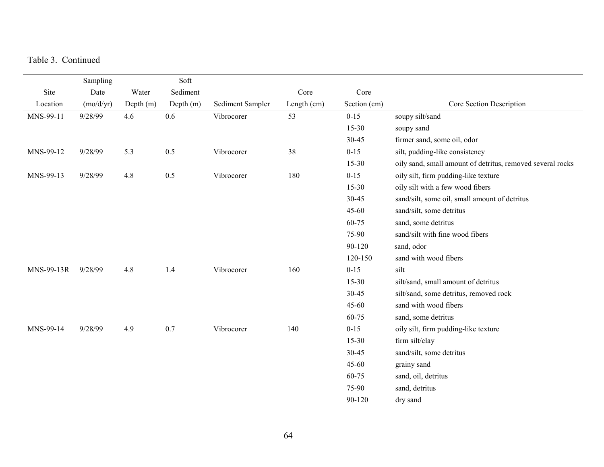Table 3. Continued

|            | Sampling  |           | Soft      |                  |             |              |                                                            |
|------------|-----------|-----------|-----------|------------------|-------------|--------------|------------------------------------------------------------|
| Site       | Date      | Water     | Sediment  |                  | Core        | Core         |                                                            |
| Location   | (mo/d/yr) | Depth (m) | Depth (m) | Sediment Sampler | Length (cm) | Section (cm) | Core Section Description                                   |
| MNS-99-11  | 9/28/99   | 4.6       | 0.6       | Vibrocorer       | 53          | $0 - 15$     | soupy silt/sand                                            |
|            |           |           |           |                  |             | 15-30        | soupy sand                                                 |
|            |           |           |           |                  |             | 30-45        | firmer sand, some oil, odor                                |
| MNS-99-12  | 9/28/99   | 5.3       | 0.5       | Vibrocorer       | 38          | $0 - 15$     | silt, pudding-like consistency                             |
|            |           |           |           |                  |             | 15-30        | oily sand, small amount of detritus, removed several rocks |
| MNS-99-13  | 9/28/99   | 4.8       | 0.5       | Vibrocorer       | 180         | $0 - 15$     | oily silt, firm pudding-like texture                       |
|            |           |           |           |                  |             | 15-30        | oily silt with a few wood fibers                           |
|            |           |           |           |                  |             | 30-45        | sand/silt, some oil, small amount of detritus              |
|            |           |           |           |                  |             | $45 - 60$    | sand/silt, some detritus                                   |
|            |           |           |           |                  |             | 60-75        | sand, some detritus                                        |
|            |           |           |           |                  |             | 75-90        | sand/silt with fine wood fibers                            |
|            |           |           |           |                  |             | 90-120       | sand, odor                                                 |
|            |           |           |           |                  |             | 120-150      | sand with wood fibers                                      |
| MNS-99-13R | 9/28/99   | 4.8       | 1.4       | Vibrocorer       | 160         | $0 - 15$     | silt                                                       |
|            |           |           |           |                  |             | $15 - 30$    | silt/sand, small amount of detritus                        |
|            |           |           |           |                  |             | 30-45        | silt/sand, some detritus, removed rock                     |
|            |           |           |           |                  |             | 45-60        | sand with wood fibers                                      |
|            |           |           |           |                  |             | 60-75        | sand, some detritus                                        |
| MNS-99-14  | 9/28/99   | 4.9       | 0.7       | Vibrocorer       | 140         | $0 - 15$     | oily silt, firm pudding-like texture                       |
|            |           |           |           |                  |             | $15 - 30$    | firm silt/clay                                             |
|            |           |           |           |                  |             | 30-45        | sand/silt, some detritus                                   |
|            |           |           |           |                  |             | 45-60        | grainy sand                                                |
|            |           |           |           |                  |             | 60-75        | sand, oil, detritus                                        |
|            |           |           |           |                  |             | 75-90        | sand, detritus                                             |
|            |           |           |           |                  |             | 90-120       | dry sand                                                   |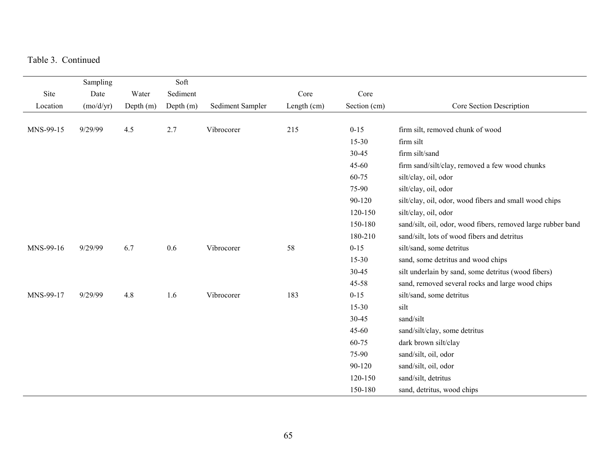Table 3. Continued

|           | Sampling  |             | Soft        |                  |             |              |                                                              |
|-----------|-----------|-------------|-------------|------------------|-------------|--------------|--------------------------------------------------------------|
| Site      | Date      | Water       | Sediment    |                  | Core        | Core         |                                                              |
| Location  | (mo/d/yr) | Depth $(m)$ | Depth $(m)$ | Sediment Sampler | Length (cm) | Section (cm) | Core Section Description                                     |
|           |           |             |             |                  |             |              |                                                              |
| MNS-99-15 | 9/29/99   | 4.5         | 2.7         | Vibrocorer       | 215         | $0 - 15$     | firm silt, removed chunk of wood                             |
|           |           |             |             |                  |             | $15 - 30$    | firm silt                                                    |
|           |           |             |             |                  |             | 30-45        | firm silt/sand                                               |
|           |           |             |             |                  |             | 45-60        | firm sand/silt/clay, removed a few wood chunks               |
|           |           |             |             |                  |             | 60-75        | silt/clay, oil, odor                                         |
|           |           |             |             |                  |             | 75-90        | silt/clay, oil, odor                                         |
|           |           |             |             |                  |             | 90-120       | silt/clay, oil, odor, wood fibers and small wood chips       |
|           |           |             |             |                  |             | 120-150      | silt/clay, oil, odor                                         |
|           |           |             |             |                  |             | 150-180      | sand/silt, oil, odor, wood fibers, removed large rubber band |
|           |           |             |             |                  |             | 180-210      | sand/silt, lots of wood fibers and detritus                  |
| MNS-99-16 | 9/29/99   | 6.7         | 0.6         | Vibrocorer       | 58          | $0 - 15$     | silt/sand, some detritus                                     |
|           |           |             |             |                  |             | 15-30        | sand, some detritus and wood chips                           |
|           |           |             |             |                  |             | 30-45        | silt underlain by sand, some detritus (wood fibers)          |
|           |           |             |             |                  |             | 45-58        | sand, removed several rocks and large wood chips             |
| MNS-99-17 | 9/29/99   | 4.8         | 1.6         | Vibrocorer       | 183         | $0 - 15$     | silt/sand, some detritus                                     |
|           |           |             |             |                  |             | $15 - 30$    | silt                                                         |
|           |           |             |             |                  |             | 30-45        | sand/silt                                                    |
|           |           |             |             |                  |             | $45 - 60$    | sand/silt/clay, some detritus                                |
|           |           |             |             |                  |             | 60-75        | dark brown silt/clay                                         |
|           |           |             |             |                  |             | 75-90        | sand/silt, oil, odor                                         |
|           |           |             |             |                  |             | 90-120       | sand/silt, oil, odor                                         |
|           |           |             |             |                  |             | 120-150      | sand/silt, detritus                                          |
|           |           |             |             |                  |             | 150-180      | sand, detritus, wood chips                                   |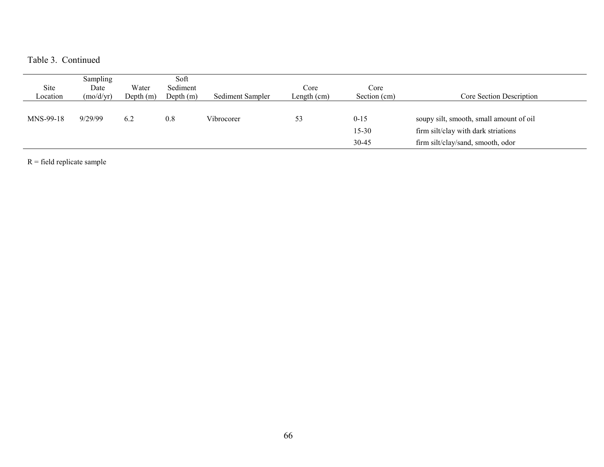Table 3. Continued

| Site<br>Location | <b>Sampling</b><br>Date<br>(mo/d/yr) | Water<br>Depth (m) | Soft<br>Sediment<br>Depth $(m)$ | Sediment Sampler | Core<br>Length (cm) | Core<br>Section (cm)           | Core Section Description                                                                                            |
|------------------|--------------------------------------|--------------------|---------------------------------|------------------|---------------------|--------------------------------|---------------------------------------------------------------------------------------------------------------------|
| MNS-99-18        | 9/29/99                              | 6.2                | 0.8                             | Vibrocorer       | 53                  | $0 - 15$<br>$15 - 30$<br>30-45 | soupy silt, smooth, small amount of oil<br>firm silt/clay with dark striations<br>firm silt/clay/sand, smooth, odor |

 $R =$  field replicate sample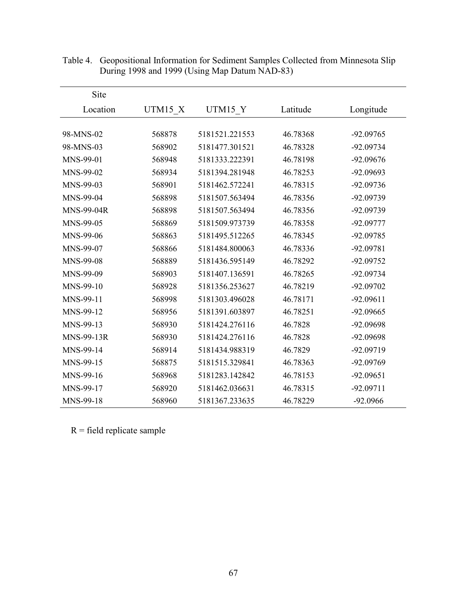| Site              |         |                |          |             |
|-------------------|---------|----------------|----------|-------------|
| Location          | UTM15 X | UTM15 Y        | Latitude | Longitude   |
|                   |         |                |          |             |
| 98-MNS-02         | 568878  | 5181521.221553 | 46.78368 | -92.09765   |
| 98-MNS-03         | 568902  | 5181477.301521 | 46.78328 | -92.09734   |
| MNS-99-01         | 568948  | 5181333.222391 | 46.78198 | -92.09676   |
| MNS-99-02         | 568934  | 5181394.281948 | 46.78253 | -92.09693   |
| MNS-99-03         | 568901  | 5181462.572241 | 46.78315 | $-92.09736$ |
| MNS-99-04         | 568898  | 5181507.563494 | 46.78356 | -92.09739   |
| <b>MNS-99-04R</b> | 568898  | 5181507.563494 | 46.78356 | -92.09739   |
| MNS-99-05         | 568869  | 5181509.973739 | 46.78358 | -92.09777   |
| MNS-99-06         | 568863  | 5181495.512265 | 46.78345 | -92.09785   |
| MNS-99-07         | 568866  | 5181484.800063 | 46.78336 | -92.09781   |
| MNS-99-08         | 568889  | 5181436.595149 | 46.78292 | -92.09752   |
| MNS-99-09         | 568903  | 5181407.136591 | 46.78265 | -92.09734   |
| MNS-99-10         | 568928  | 5181356.253627 | 46.78219 | -92.09702   |
| MNS-99-11         | 568998  | 5181303.496028 | 46.78171 | $-92.09611$ |
| MNS-99-12         | 568956  | 5181391.603897 | 46.78251 | -92.09665   |
| MNS-99-13         | 568930  | 5181424.276116 | 46.7828  | -92.09698   |
| <b>MNS-99-13R</b> | 568930  | 5181424.276116 | 46.7828  | -92.09698   |
| MNS-99-14         | 568914  | 5181434.988319 | 46.7829  | -92.09719   |
| MNS-99-15         | 568875  | 5181515.329841 | 46.78363 | -92.09769   |
| MNS-99-16         | 568968  | 5181283.142842 | 46.78153 | $-92.09651$ |
| MNS-99-17         | 568920  | 5181462.036631 | 46.78315 | $-92.09711$ |
| MNS-99-18         | 568960  | 5181367.233635 | 46.78229 | $-92.0966$  |

Table 4. Geopositional Information for Sediment Samples Collected from Minnesota Slip During 1998 and 1999 (Using Map Datum NAD-83)

 $R =$  field replicate sample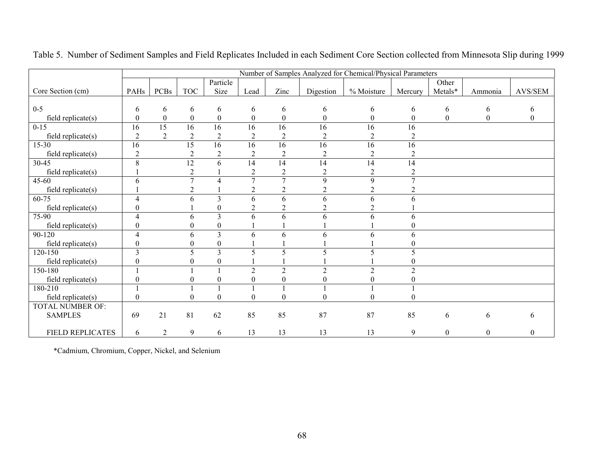|                         |                  |                  |                  |                  |                  |                  |                  | Number of Samples Analyzed for Chemical/Physical Parameters |                  |                  |                  |                  |
|-------------------------|------------------|------------------|------------------|------------------|------------------|------------------|------------------|-------------------------------------------------------------|------------------|------------------|------------------|------------------|
|                         |                  |                  |                  | Particle         |                  |                  |                  |                                                             |                  | Other            |                  |                  |
| Core Section (cm)       | PAHs             | <b>PCBs</b>      | <b>TOC</b>       | Size             | Lead             | Zinc             | Digestion        | % Moisture                                                  | Mercury          | Metals*          | Ammonia          | AVS/SEM          |
|                         |                  |                  |                  |                  |                  |                  |                  |                                                             |                  |                  |                  |                  |
| $0-5$                   | 6                | 6                | 6                | 6                | 6                | 6                | 6                | 6                                                           | 6                | 6                | 6                | 6                |
| $field$ replicate $(s)$ | $\mathbf{0}$     | $\boldsymbol{0}$ | $\boldsymbol{0}$ | $\boldsymbol{0}$ | $\boldsymbol{0}$ | $\boldsymbol{0}$ | $\boldsymbol{0}$ | $\boldsymbol{0}$                                            | $\boldsymbol{0}$ | $\boldsymbol{0}$ | $\boldsymbol{0}$ | $\boldsymbol{0}$ |
| $0 - 15$                | 16               | 15               | 16               | 16               | 16               | 16               | 16               | 16                                                          | 16               |                  |                  |                  |
| $field$ replicate $(s)$ | $\overline{2}$   | $\mathfrak{D}$   | $\overline{2}$   | $\overline{2}$   | $\overline{2}$   | $\overline{c}$   | $\overline{c}$   | $\overline{2}$                                              | $\overline{2}$   |                  |                  |                  |
| $15 - 30$               | 16               |                  | $\overline{15}$  | $\overline{16}$  | $\overline{16}$  | $\overline{16}$  | $\overline{16}$  | 16                                                          | $\overline{16}$  |                  |                  |                  |
| field replicate(s)      | $\overline{2}$   |                  | $\overline{c}$   | $\overline{2}$   | $\overline{2}$   | $\boldsymbol{2}$ | $\sqrt{2}$       | $\overline{2}$                                              | $\overline{2}$   |                  |                  |                  |
| 30-45                   | 8                |                  | $\overline{12}$  | 6                | 14               | 14               | 14               | 14                                                          | 14               |                  |                  |                  |
| $field$ replicate $(s)$ |                  |                  | $\overline{2}$   |                  | $\overline{2}$   | $\overline{2}$   | $\overline{2}$   | $\overline{2}$                                              | $\overline{2}$   |                  |                  |                  |
| $45 - 60$               | 6                |                  | 7                | 4                | $\overline{7}$   | 7                | 9                | 9                                                           | $\overline{7}$   |                  |                  |                  |
| $field$ replicate $(s)$ |                  |                  | $\overline{2}$   |                  | $\overline{2}$   | $\overline{c}$   | $\overline{2}$   | $\overline{2}$                                              | 2                |                  |                  |                  |
| 60-75                   | 4                |                  | 6                | 3                | 6                | 6                | 6                | 6                                                           | 6                |                  |                  |                  |
| $field$ replicate $(s)$ | 0                |                  |                  | $\mathbf{0}$     | $\overline{c}$   | $\overline{c}$   | 2                | $\overline{2}$                                              |                  |                  |                  |                  |
| 75-90                   | 4                |                  | 6                | $\overline{3}$   | 6                | 6                | 6                | 6                                                           | 6                |                  |                  |                  |
| field replicate(s)      | $\boldsymbol{0}$ |                  | 0                | 0                |                  |                  |                  |                                                             | 0                |                  |                  |                  |
| 90-120                  | $\overline{4}$   |                  | 6                | 3                | 6                | 6                | 6                | 6                                                           | 6                |                  |                  |                  |
| $field$ replicate $(s)$ | $\boldsymbol{0}$ |                  | $\Omega$         | $\boldsymbol{0}$ |                  |                  |                  |                                                             | $\theta$         |                  |                  |                  |
| $120 - 150$             | 3                |                  | 5                | 3                | 5                | 5                | 5                | 5                                                           | 5                |                  |                  |                  |
| field replicate(s)      | $\boldsymbol{0}$ |                  | 0                | $\mathbf{0}$     |                  |                  |                  |                                                             | 0                |                  |                  |                  |
| 150-180                 |                  |                  |                  |                  | $\overline{2}$   | $\overline{c}$   | $\overline{2}$   | $\overline{2}$                                              | $\overline{2}$   |                  |                  |                  |
| field replicate $(s)$   | $\boldsymbol{0}$ |                  |                  | $\Omega$         | 0                | $\boldsymbol{0}$ | $\boldsymbol{0}$ | $\Omega$                                                    | $\boldsymbol{0}$ |                  |                  |                  |
| 180-210                 |                  |                  |                  |                  |                  |                  |                  |                                                             |                  |                  |                  |                  |
| field replicate(s)      | $\boldsymbol{0}$ |                  | 0                | 0                | $\theta$         | $\boldsymbol{0}$ | 0                | $\Omega$                                                    | $\theta$         |                  |                  |                  |
| <b>TOTAL NUMBER OF:</b> |                  |                  |                  |                  |                  |                  |                  |                                                             |                  |                  |                  |                  |
| <b>SAMPLES</b>          | 69               | 21               | 81               | 62               | 85               | 85               | 87               | 87                                                          | 85               | 6                | 6                | 6                |
|                         |                  |                  |                  |                  |                  |                  |                  |                                                             |                  |                  |                  |                  |
| FIELD REPLICATES        | 6                | $\overline{2}$   | 9                | 6                | 13               | 13               | 13               | 13                                                          | 9                | $\boldsymbol{0}$ | $\mathbf{0}$     | $\boldsymbol{0}$ |

Table 5. Number of Sediment Samples and Field Replicates Included in each Sediment Core Section collected from Minnesota Slip during 1999

\*Cadmium, Chromium, Copper, Nickel, and Selenium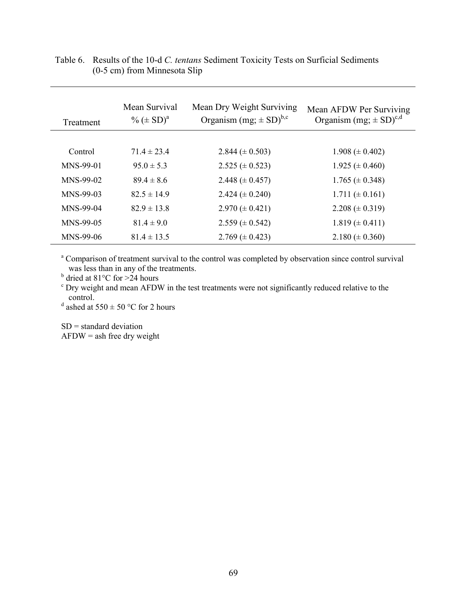| Treatment | Mean Survival<br>$\% (\pm SD)^{a}$ | Mean Dry Weight Surviving<br>Organism $(mg; \pm SD)^{b,c}$ | Mean AFDW Per Surviving<br>Organism $(mg; \pm SD)^{c,d}$ |
|-----------|------------------------------------|------------------------------------------------------------|----------------------------------------------------------|
|           |                                    |                                                            |                                                          |
| Control   | $71.4 \pm 23.4$                    | 2.844 ( $\pm$ 0.503)                                       | $1.908 \ (\pm 0.402)$                                    |
| MNS-99-01 | $95.0 \pm 5.3$                     | $2.525 \ (\pm 0.523)$                                      | $1.925 \ (\pm 0.460)$                                    |
| MNS-99-02 | $894 \pm 86$                       | 2.448 ( $\pm$ 0.457)                                       | $1.765 \ (\pm 0.348)$                                    |
| MNS-99-03 | $82.5 \pm 14.9$                    | 2.424 $(\pm 0.240)$                                        | $1.711 \ (\pm 0.161)$                                    |
| MNS-99-04 | $82.9 \pm 13.8$                    | $2.970 \ (\pm 0.421)$                                      | 2.208 ( $\pm$ 0.319)                                     |
| MNS-99-05 | $81.4 \pm 9.0$                     | $2.559 \ (\pm 0.542)$                                      | $1.819 \ (\pm 0.411)$                                    |
| MNS-99-06 | $81.4 \pm 13.5$                    | 2.769 $(\pm 0.423)$                                        | $2.180 \ (\pm 0.360)$                                    |

### Table 6. Results of the 10-d *C. tentans* Sediment Toxicity Tests on Surficial Sediments (0-5 cm) from Minnesota Slip

<sup>a</sup> Comparison of treatment survival to the control was completed by observation since control survival was less than in any of the treatments.

 $<sup>b</sup>$  dried at 81°C for >24 hours</sup>

<sup>c</sup> Dry weight and mean AFDW in the test treatments were not significantly reduced relative to the control.

<sup>d</sup> ashed at 550  $\pm$  50 °C for 2 hours

 $SD =$  standard deviation  $AFDW =$  ash free dry weight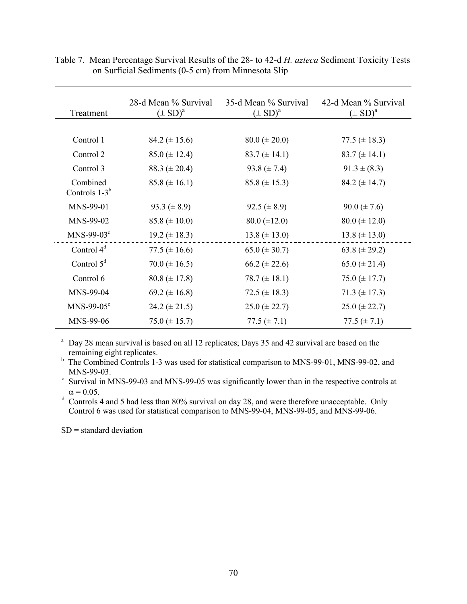| Treatment                   | 28-d Mean % Survival<br>$(\pm SD)^{a}$ | 35-d Mean % Survival<br>$(\pm SD)^a$ | 42-d Mean % Survival<br>$(\pm SD)^{a}$ |
|-----------------------------|----------------------------------------|--------------------------------------|----------------------------------------|
|                             |                                        |                                      |                                        |
| Control 1                   | 84.2 $(\pm 15.6)$                      | $80.0 \ (\pm 20.0)$                  | 77.5 ( $\pm$ 18.3)                     |
| Control 2                   | $85.0 \ (\pm 12.4)$                    | $83.7 (\pm 14.1)$                    | $83.7 (\pm 14.1)$                      |
| Control 3                   | 88.3 ( $\pm$ 20.4)                     | 93.8 $(\pm 7.4)$                     | $91.3 \pm (8.3)$                       |
| Combined<br>Controls $1-3b$ | $85.8 \ (\pm 16.1)$                    | $85.8 \ (\pm 15.3)$                  | 84.2 $(\pm 14.7)$                      |
| MNS-99-01                   | 93.3 ( $\pm$ 8.9)                      | 92.5 ( $\pm$ 8.9)                    | $90.0 \ (\pm 7.6)$                     |
| MNS-99-02                   | $85.8 (\pm 10.0)$                      | $80.0 \ (\pm 12.0)$                  | $80.0 \ (\pm 12.0)$                    |
| $MNS-99-03c$                | $19.2 \ (\pm 18.3)$                    | $13.8 (\pm 13.0)$                    | $13.8 (\pm 13.0)$                      |
| Control $4d$                | 77.5 $(\pm 16.6)$                      | $65.0 \ (\pm 30.7)$                  | 63.8 ( $\pm$ 29.2)                     |
| Control $5^d$               | 70.0 ( $\pm$ 16.5)                     | $66.2 \ (\pm 22.6)$                  | 65.0 ( $\pm$ 21.4)                     |
| Control 6                   | $80.8 (\pm 17.8)$                      | 78.7 $(\pm 18.1)$                    | 75.0 $(\pm 17.7)$                      |
| MNS-99-04                   | 69.2 ( $\pm$ 16.8)                     | 72.5 ( $\pm$ 18.3)                   | $71.3 (\pm 17.3)$                      |
| $MNS-99-05^{\circ}$         | $24.2 \ (\pm 21.5)$                    | $25.0 \ (\pm 22.7)$                  | $25.0 \ (\pm 22.7)$                    |
| MNS-99-06                   | $75.0 \ (\pm 15.7)$                    | 77.5 $(\pm 7.1)$                     | 77.5 $(\pm 7.1)$                       |

Table 7. Mean Percentage Survival Results of the 28- to 42-d *H. azteca* Sediment Toxicity Tests on Surficial Sediments (0-5 cm) from Minnesota Slip

<sup>a</sup> Day 28 mean survival is based on all 12 replicates; Days 35 and 42 survival are based on the remaining eight replicates.

<sup>b</sup> The Combined Controls 1-3 was used for statistical comparison to MNS-99-01, MNS-99-02, and

MNS-99-03.<br><sup>c</sup> Survival in MNS-99-03 and MNS-99-05 was significantly lower than in the respective controls at  $\alpha = 0.05$ .

<sup>d</sup> Controls 4 and 5 had less than 80% survival on day 28, and were therefore unacceptable. Only Control 6 was used for statistical comparison to MNS-99-04, MNS-99-05, and MNS-99-06.

 $SD = standard deviation$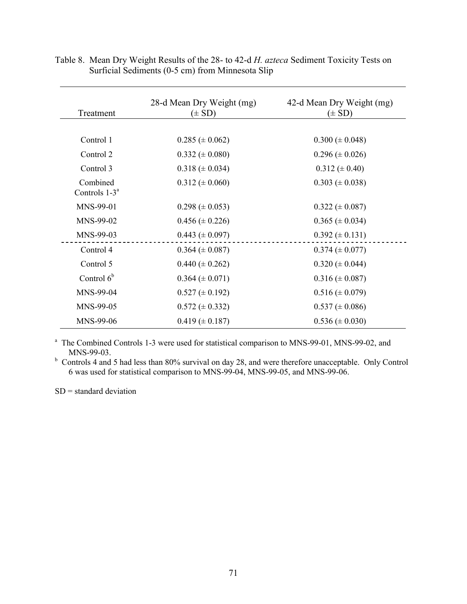| Treatment                             | 28-d Mean Dry Weight (mg)<br>$(\pm SD)$ | 42-d Mean Dry Weight (mg)<br>$(\pm SD)$ |
|---------------------------------------|-----------------------------------------|-----------------------------------------|
|                                       |                                         |                                         |
| Control 1                             | $0.285 \ (\pm 0.062)$                   | $0.300 \ (\pm 0.048)$                   |
| Control 2                             | $0.332 \ (\pm 0.080)$                   | $0.296 \ (\pm 0.026)$                   |
| Control 3                             | $0.318 \ (\pm 0.034)$                   | $0.312 \ (\pm 0.40)$                    |
| Combined<br>Controls 1-3 <sup>a</sup> | $0.312 \ (\pm 0.060)$                   | $0.303 \ (\pm 0.038)$                   |
| MNS-99-01                             | $0.298 \ (\pm 0.053)$                   | $0.322 \ (\pm 0.087)$                   |
| MNS-99-02                             | $0.456 \ (\pm 0.226)$                   | $0.365 \ (\pm 0.034)$                   |
| MNS-99-03                             | $0.443 \ (\pm 0.097)$                   | $0.392 \ (\pm 0.131)$                   |
| Control 4                             | $0.364 \ (\pm 0.087)$                   | $0.374 \ (\pm 0.077)$                   |
| Control 5                             | $0.440 \ (\pm 0.262)$                   | $0.320 \ (\pm 0.044)$                   |
| Control $6b$                          | $0.364 \ (\pm 0.071)$                   | $0.316 \ (\pm 0.087)$                   |
| MNS-99-04                             | $0.527 \ (\pm 0.192)$                   | $0.516 \ (\pm 0.079)$                   |
| MNS-99-05                             | $0.572 \ (\pm 0.332)$                   | $0.537 \ (\pm 0.086)$                   |
| MNS-99-06                             | $0.419 \ (\pm 0.187)$                   | $0.536 \ (\pm 0.030)$                   |

Table 8. Mean Dry Weight Results of the 28- to 42-d *H. azteca* Sediment Toxicity Tests on Surficial Sediments (0-5 cm) from Minnesota Slip

<sup>a</sup> The Combined Controls 1-3 were used for statistical comparison to MNS-99-01, MNS-99-02, and MNS-99-03.

<sup>b</sup> Controls 4 and 5 had less than 80% survival on day 28, and were therefore unacceptable. Only Control 6 was used for statistical comparison to MNS-99-04, MNS-99-05, and MNS-99-06.

 $SD = standard deviation$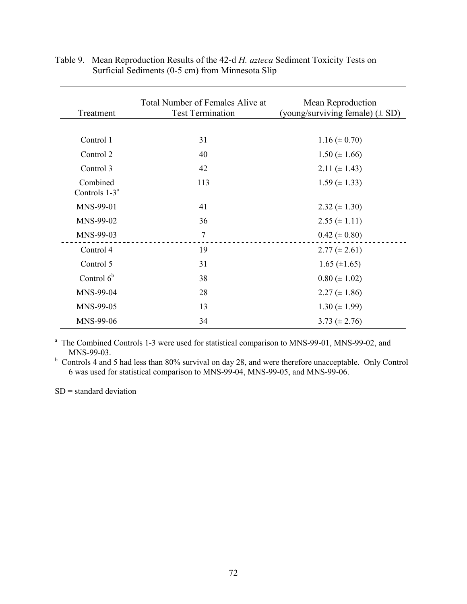| Treatment                    | Total Number of Females Alive at<br><b>Test Termination</b> | Mean Reproduction<br>(young/surviving female) $(\pm SD)$ |
|------------------------------|-------------------------------------------------------------|----------------------------------------------------------|
|                              |                                                             |                                                          |
| Control 1                    | 31                                                          | $1.16 \ (\pm 0.70)$                                      |
| Control 2                    | 40                                                          | $1.50 \ (\pm 1.66)$                                      |
| Control 3                    | 42                                                          | 2.11 ( $\pm$ 1.43)                                       |
| Combined<br>Controls $1-3^a$ | 113                                                         | $1.59 \ (\pm 1.33)$                                      |
| MNS-99-01                    | 41                                                          | $2.32 \ (\pm 1.30)$                                      |
| MNS-99-02                    | 36                                                          | $2.55 \ (\pm 1.11)$                                      |
| MNS-99-03                    | 7                                                           | $0.42 \ (\pm 0.80)$                                      |
| Control 4                    | 19                                                          | $2.77 \ (\pm 2.61)$                                      |
| Control 5                    | 31                                                          | $1.65 \ (\pm 1.65)$                                      |
| Control $6b$                 | 38                                                          | $0.80 \ (\pm 1.02)$                                      |
| MNS-99-04                    | 28                                                          | $2.27 \ (\pm 1.86)$                                      |
| MNS-99-05                    | 13                                                          | $1.30 \ (\pm 1.99)$                                      |
| MNS-99-06                    | 34                                                          | 3.73 ( $\pm$ 2.76)                                       |

Table 9. Mean Reproduction Results of the 42-d *H. azteca* Sediment Toxicity Tests on Surficial Sediments (0-5 cm) from Minnesota Slip

<sup>a</sup> The Combined Controls 1-3 were used for statistical comparison to MNS-99-01, MNS-99-02, and MNS-99-03.

<sup>b</sup> Controls 4 and 5 had less than 80% survival on day 28, and were therefore unacceptable. Only Control 6 was used for statistical comparison to MNS-99-04, MNS-99-05, and MNS-99-06.

 $SD = standard deviation$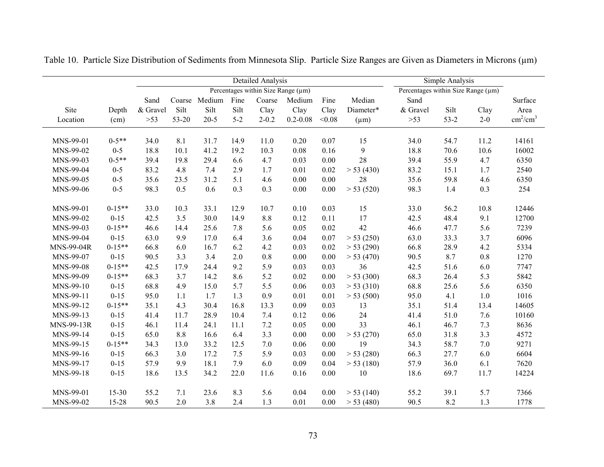|            |            |          |       |               |         | <b>Detailed Analysis</b>           |              |        |           |                                    | Simple Analysis |         |                           |
|------------|------------|----------|-------|---------------|---------|------------------------------------|--------------|--------|-----------|------------------------------------|-----------------|---------|---------------------------|
|            |            |          |       |               |         | Percentages within Size Range (µm) |              |        |           | Percentages within Size Range (µm) |                 |         |                           |
|            |            | Sand     |       | Coarse Medium | Fine    | Coarse                             | Medium       | Fine   | Median    | Sand                               |                 |         | Surface                   |
| Site       | Depth      | & Gravel | Silt  | Silt          | Silt    | Clay                               | Clay         | Clay   | Diameter* | & Gravel                           | Silt            | Clay    | Area                      |
| Location   | (cm)       | $>53$    | 53-20 | $20 - 5$      | $5 - 2$ | $2 - 0.2$                          | $0.2 - 0.08$ | < 0.08 | $(\mu m)$ | $>53$                              | $53-2$          | $2 - 0$ | $\text{cm}^2/\text{cm}^3$ |
|            |            |          |       |               |         |                                    |              |        |           |                                    |                 |         |                           |
| MNS-99-01  | $0 - 5**$  | 34.0     | 8.1   | 31.7          | 14.9    | 11.0                               | 0.20         | 0.07   | 15        | 34.0                               | 54.7            | 11.2    | 14161                     |
| MNS-99-02  | $0-5$      | 18.8     | 10.1  | 41.2          | 19.2    | 10.3                               | 0.08         | 0.16   | 9         | 18.8                               | 70.6            | 10.6    | 16002                     |
| MNS-99-03  | $0-5**$    | 39.4     | 19.8  | 29.4          | 6.6     | 4.7                                | 0.03         | 0.00   | 28        | 39.4                               | 55.9            | 4.7     | 6350                      |
| MNS-99-04  | $0 - 5$    | 83.2     | 4.8   | 7.4           | 2.9     | 1.7                                | 0.01         | 0.02   | > 53(430) | 83.2                               | 15.1            | 1.7     | 2540                      |
| MNS-99-05  | $0 - 5$    | 35.6     | 23.5  | 31.2          | 5.1     | 4.6                                | 0.00         | 0.00   | 28        | 35.6                               | 59.8            | 4.6     | 6350                      |
| MNS-99-06  | $0 - 5$    | 98.3     | 0.5   | 0.6           | 0.3     | 0.3                                | $0.00\,$     | 0.00   | > 53(520) | 98.3                               | 1.4             | 0.3     | 254                       |
| MNS-99-01  | $0 - 15**$ | 33.0     | 10.3  | 33.1          | 12.9    | 10.7                               | 0.10         | 0.03   | 15        | 33.0                               | 56.2            | 10.8    | 12446                     |
| MNS-99-02  | $0 - 15$   | 42.5     | 3.5   | 30.0          | 14.9    | 8.8                                | 0.12         | 0.11   | 17        | 42.5                               | 48.4            | 9.1     | 12700                     |
| MNS-99-03  | $0-15**$   | 46.6     | 14.4  | 25.6          | 7.8     | 5.6                                | 0.05         | 0.02   | 42        | 46.6                               | 47.7            | 5.6     | 7239                      |
| MNS-99-04  | $0 - 15$   | 63.0     | 9.9   | 17.0          | 6.4     | 3.6                                | 0.04         | 0.07   | > 53(250) | 63.0                               | 33.3            | 3.7     | 6096                      |
| MNS-99-04R | $0-15**$   | 66.8     | 6.0   | 16.7          | 6.2     | 4.2                                | 0.03         | 0.02   | > 53(290) | 66.8                               | 28.9            | 4.2     | 5334                      |
| MNS-99-07  | $0 - 15$   | 90.5     | 3.3   | 3.4           | 2.0     | 0.8                                | 0.00         | 0.00   | > 53(470) | 90.5                               | 8.7             | 0.8     | 1270                      |
| MNS-99-08  | $0 - 15**$ | 42.5     | 17.9  | 24.4          | 9.2     | 5.9                                | 0.03         | 0.03   | 36        | 42.5                               | 51.6            | 6.0     | 7747                      |
| MNS-99-09  | $0 - 15**$ | 68.3     | 3.7   | 14.2          | 8.6     | 5.2                                | 0.02         | 0.00   | > 53(300) | 68.3                               | 26.4            | 5.3     | 5842                      |
| MNS-99-10  | $0 - 15$   | 68.8     | 4.9   | 15.0          | 5.7     | 5.5                                | 0.06         | 0.03   | > 53(310) | 68.8                               | 25.6            | 5.6     | 6350                      |
| MNS-99-11  | $0 - 15$   | 95.0     | 1.1   | 1.7           | 1.3     | 0.9                                | 0.01         | 0.01   | > 53(500) | 95.0                               | 4.1             | 1.0     | 1016                      |
| MNS-99-12  | $0 - 15**$ | 35.1     | 4.3   | 30.4          | 16.8    | 13.3                               | 0.09         | 0.03   | 13        | 35.1                               | 51.4            | 13.4    | 14605                     |
| MNS-99-13  | $0 - 15$   | 41.4     | 11.7  | 28.9          | 10.4    | 7.4                                | 0.12         | 0.06   | 24        | 41.4                               | 51.0            | 7.6     | 10160                     |
| MNS-99-13R | $0 - 15$   | 46.1     | 11.4  | 24.1          | 11.1    | 7.2                                | 0.05         | 0.00   | 33        | 46.1                               | 46.7            | 7.3     | 8636                      |
| MNS-99-14  | $0 - 15$   | 65.0     | 8.8   | 16.6          | 6.4     | 3.3                                | $0.00\,$     | 0.00   | > 53(270) | 65.0                               | 31.8            | 3.3     | 4572                      |
| MNS-99-15  | $0-15**$   | 34.3     | 13.0  | 33.2          | 12.5    | 7.0                                | 0.06         | 0.00   | 19        | 34.3                               | 58.7            | $7.0\,$ | 9271                      |
| MNS-99-16  | $0 - 15$   | 66.3     | 3.0   | 17.2          | 7.5     | 5.9                                | 0.03         | 0.00   | > 53(280) | 66.3                               | 27.7            | 6.0     | 6604                      |
| MNS-99-17  | $0 - 15$   | 57.9     | 9.9   | 18.1          | 7.9     | 6.0                                | 0.09         | 0.04   | > 53(180) | 57.9                               | 36.0            | 6.1     | 7620                      |
| MNS-99-18  | $0 - 15$   | 18.6     | 13.5  | 34.2          | 22.0    | 11.6                               | 0.16         | 0.00   | 10        | 18.6                               | 69.7            | 11.7    | 14224                     |
|            |            |          |       |               |         |                                    |              |        |           |                                    |                 |         |                           |
| MNS-99-01  | 15-30      | 55.2     | 7.1   | 23.6          | 8.3     | 5.6                                | 0.04         | 0.00   | > 53(140) | 55.2                               | 39.1            | 5.7     | 7366                      |
| MNS-99-02  | 15-28      | 90.5     | 2.0   | 3.8           | 2.4     | 1.3                                | 0.01         | 0.00   | > 53(480) | 90.5                               | 8.2             | 1.3     | 1778                      |

Table 10. Particle Size Distribution of Sediments from Minnesota Slip. Particle Size Ranges are Given as Diameters in Microns (µm)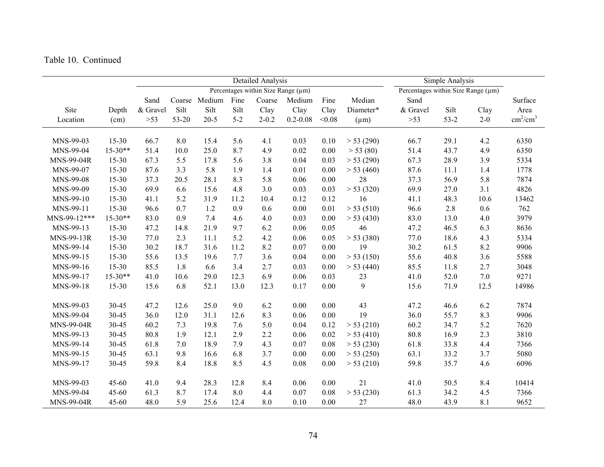|              |           |          |       |               |         | <b>Detailed Analysis</b>           |              |        |           |                                    | Simple Analysis |         |                           |
|--------------|-----------|----------|-------|---------------|---------|------------------------------------|--------------|--------|-----------|------------------------------------|-----------------|---------|---------------------------|
|              |           |          |       |               |         | Percentages within Size Range (µm) |              |        |           | Percentages within Size Range (µm) |                 |         |                           |
|              |           | Sand     |       | Coarse Medium | Fine    | Coarse                             | Medium       | Fine   | Median    | Sand                               |                 |         | Surface                   |
| Site         | Depth     | & Gravel | Silt  | Silt          | Silt    | Clay                               | Clay         | Clay   | Diameter* | & Gravel                           | Silt            | Clay    | Area                      |
| Location     | (cm)      | $>53$    | 53-20 | $20 - 5$      | $5 - 2$ | $2 - 0.2$                          | $0.2 - 0.08$ | < 0.08 | $(\mu m)$ | $>53$                              | $53 - 2$        | $2 - 0$ | $\text{cm}^2/\text{cm}^3$ |
| MNS-99-03    | $15 - 30$ | 66.7     | 8.0   | 15.4          | 5.6     | 4.1                                | 0.03         | 0.10   | > 53(290) | 66.7                               | 29.1            | 4.2     | 6350                      |
| MNS-99-04    | $15-30**$ | 51.4     | 10.0  | 25.0          | 8.7     | 4.9                                | 0.02         | 0.00   | > 53(80)  | 51.4                               | 43.7            | 4.9     | 6350                      |
| MNS-99-04R   | 15-30     | 67.3     | 5.5   | 17.8          | 5.6     | 3.8                                | 0.04         | 0.03   | > 53(290) | 67.3                               | 28.9            | 3.9     | 5334                      |
| MNS-99-07    | $15 - 30$ | 87.6     | 3.3   | 5.8           | 1.9     | 1.4                                | 0.01         | 0.00   | > 53(460) | 87.6                               | 11.1            | 1.4     | 1778                      |
| MNS-99-08    | $15 - 30$ | 37.3     | 20.5  | 28.1          | 8.3     | 5.8                                | 0.06         | 0.00   | 28        | 37.3                               | 56.9            | 5.8     | 7874                      |
| MNS-99-09    | $15 - 30$ | 69.9     | 6.6   | 15.6          | 4.8     | 3.0                                | 0.03         | 0.03   | > 53(320) | 69.9                               | 27.0            | 3.1     | 4826                      |
| MNS-99-10    | 15-30     | 41.1     | 5.2   | 31.9          | 11.2    | 10.4                               | 0.12         | 0.12   | 16        | 41.1                               | 48.3            | 10.6    | 13462                     |
| MNS-99-11    | 15-30     | 96.6     | 0.7   | 1.2           | 0.9     | 0.6                                | 0.00         | 0.01   | > 53(510) | 96.6                               | 2.8             | 0.6     | 762                       |
| MNS-99-12*** | $15-30**$ | 83.0     | 0.9   | 7.4           | 4.6     | 4.0                                | 0.03         | 0.00   | > 53(430) | 83.0                               | 13.0            | 4.0     | 3979                      |
| MNS-99-13    | $15 - 30$ | 47.2     | 14.8  | 21.9          | 9.7     | 6.2                                | 0.06         | 0.05   | 46        | 47.2                               | 46.5            | 6.3     | 8636                      |
| MNS-99-13R   | $15 - 30$ | 77.0     | 2.3   | 11.1          | 5.2     | 4.2                                | 0.06         | 0.05   | > 53(380) | 77.0                               | 18.6            | 4.3     | 5334                      |
| MNS-99-14    | 15-30     | 30.2     | 18.7  | 31.6          | 11.2    | 8.2                                | 0.07         | 0.00   | 19        | 30.2                               | 61.5            | 8.2     | 9906                      |
| MNS-99-15    | $15 - 30$ | 55.6     | 13.5  | 19.6          | 7.7     | 3.6                                | 0.04         | 0.00   | > 53(150) | 55.6                               | 40.8            | 3.6     | 5588                      |
| MNS-99-16    | 15-30     | 85.5     | 1.8   | 6.6           | 3.4     | 2.7                                | 0.03         | 0.00   | > 53(440) | 85.5                               | 11.8            | 2.7     | 3048                      |
| MNS-99-17    | $15-30**$ | 41.0     | 10.6  | 29.0          | 12.3    | 6.9                                | 0.06         | 0.03   | 23        | 41.0                               | 52.0            | 7.0     | 9271                      |
| MNS-99-18    | $15 - 30$ | 15.6     | 6.8   | 52.1          | 13.0    | 12.3                               | 0.17         | 0.00   | 9         | 15.6                               | 71.9            | 12.5    | 14986                     |
| MNS-99-03    | 30-45     | 47.2     | 12.6  | 25.0          | 9.0     | 6.2                                | 0.00         | 0.00   | 43        | 47.2                               | 46.6            | 6.2     | 7874                      |
| MNS-99-04    | 30-45     | 36.0     | 12.0  | 31.1          | 12.6    | 8.3                                | 0.06         | 0.00   | 19        | 36.0                               | 55.7            | 8.3     | 9906                      |
| MNS-99-04R   | 30-45     | 60.2     | 7.3   | 19.8          | 7.6     | 5.0                                | 0.04         | 0.12   | > 53(210) | 60.2                               | 34.7            | 5.2     | 7620                      |
| MNS-99-13    | 30-45     | 80.8     | 1.9   | 12.1          | 2.9     | 2.2                                | 0.06         | 0.02   | > 53(410) | 80.8                               | 16.9            | 2.3     | 3810                      |
| MNS-99-14    | 30-45     | 61.8     | 7.0   | 18.9          | 7.9     | 4.3                                | 0.07         | 0.08   | > 53(230) | 61.8                               | 33.8            | 4.4     | 7366                      |
| MNS-99-15    | 30-45     | 63.1     | 9.8   | 16.6          | 6.8     | 3.7                                | $0.00\,$     | 0.00   | > 53(250) | 63.1                               | 33.2            | 3.7     | 5080                      |
| MNS-99-17    | 30-45     | 59.8     | 8.4   | 18.8          | 8.5     | 4.5                                | 0.08         | 0.00   | > 53(210) | 59.8                               | 35.7            | 4.6     | 6096                      |
| MNS-99-03    | 45-60     | 41.0     | 9.4   | 28.3          | 12.8    | 8.4                                | 0.06         | 0.00   | 21        | 41.0                               | 50.5            | 8.4     | 10414                     |
| MNS-99-04    | 45-60     | 61.3     | 8.7   | 17.4          | 8.0     | 4.4                                | 0.07         | 0.08   | > 53(230) | 61.3                               | 34.2            | 4.5     | 7366                      |
| MNS-99-04R   | 45-60     | 48.0     | 5.9   | 25.6          | 12.4    | 8.0                                | 0.10         | 0.00   | 27        | 48.0                               | 43.9            | 8.1     | 9652                      |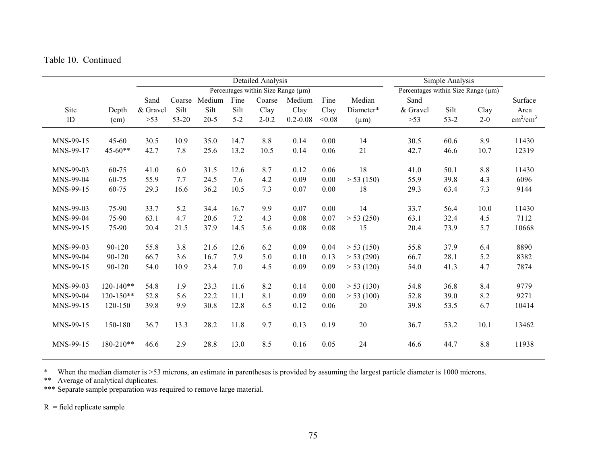|           |               |          |        |        |         | Detailed Analysis                  |              |        |           |                                         | Simple Analysis |       |                           |
|-----------|---------------|----------|--------|--------|---------|------------------------------------|--------------|--------|-----------|-----------------------------------------|-----------------|-------|---------------------------|
|           |               |          |        |        |         | Percentages within Size Range (µm) |              |        |           | Percentages within Size Range $(\mu m)$ |                 |       |                           |
|           |               | Sand     | Coarse | Medium | Fine    | Coarse                             | Medium       | Fine   | Median    | Sand                                    |                 |       | Surface                   |
| Site      | Depth         | & Gravel | Silt   | Silt   | Silt    | Clay                               | Clay         | Clay   | Diameter* | & Gravel                                | Silt            | Clay  | Area                      |
| ID        | (cm)          | $>53$    | 53-20  | $20-5$ | $5 - 2$ | $2 - 0.2$                          | $0.2 - 0.08$ | < 0.08 | $(\mu m)$ | $>53$                                   | $53 - 2$        | $2-0$ | $\text{cm}^2/\text{cm}^3$ |
| MNS-99-15 | $45 - 60$     | 30.5     | 10.9   | 35.0   | 14.7    | 8.8                                | 0.14         | 0.00   | 14        | 30.5                                    | 60.6            | 8.9   | 11430                     |
| MNS-99-17 | $45 - 60**$   | 42.7     | 7.8    | 25.6   | 13.2    | 10.5                               | 0.14         | 0.06   | 21        | 42.7                                    | 46.6            | 10.7  | 12319                     |
| MNS-99-03 | 60-75         | 41.0     | 6.0    | 31.5   | 12.6    | 8.7                                | 0.12         | 0.06   | 18        | 41.0                                    | 50.1            | 8.8   | 11430                     |
| MNS-99-04 | 60-75         | 55.9     | 7.7    | 24.5   | 7.6     | 4.2                                | 0.09         | 0.00   | > 53(150) | 55.9                                    | 39.8            | 4.3   | 6096                      |
| MNS-99-15 | 60-75         | 29.3     | 16.6   | 36.2   | 10.5    | 7.3                                | 0.07         | 0.00   | 18        | 29.3                                    | 63.4            | 7.3   | 9144                      |
| MNS-99-03 | 75-90         | 33.7     | 5.2    | 34.4   | 16.7    | 9.9                                | 0.07         | 0.00   | 14        | 33.7                                    | 56.4            | 10.0  | 11430                     |
| MNS-99-04 | 75-90         | 63.1     | 4.7    | 20.6   | 7.2     | 4.3                                | 0.08         | 0.07   | > 53(250) | 63.1                                    | 32.4            | 4.5   | 7112                      |
| MNS-99-15 | 75-90         | 20.4     | 21.5   | 37.9   | 14.5    | 5.6                                | 0.08         | 0.08   | 15        | 20.4                                    | 73.9            | 5.7   | 10668                     |
| MNS-99-03 | 90-120        | 55.8     | 3.8    | 21.6   | 12.6    | 6.2                                | 0.09         | 0.04   | > 53(150) | 55.8                                    | 37.9            | 6.4   | 8890                      |
| MNS-99-04 | 90-120        | 66.7     | 3.6    | 16.7   | 7.9     | 5.0                                | 0.10         | 0.13   | > 53(290) | 66.7                                    | 28.1            | 5.2   | 8382                      |
| MNS-99-15 | 90-120        | 54.0     | 10.9   | 23.4   | 7.0     | 4.5                                | 0.09         | 0.09   | > 53(120) | 54.0                                    | 41.3            | 4.7   | 7874                      |
| MNS-99-03 | $120 - 140**$ | 54.8     | 1.9    | 23.3   | 11.6    | 8.2                                | 0.14         | 0.00   | > 53(130) | 54.8                                    | 36.8            | 8.4   | 9779                      |
| MNS-99-04 | $120 - 150**$ | 52.8     | 5.6    | 22.2   | 11.1    | 8.1                                | 0.09         | 0.00   | > 53(100) | 52.8                                    | 39.0            | 8.2   | 9271                      |
| MNS-99-15 | 120-150       | 39.8     | 9.9    | 30.8   | 12.8    | 6.5                                | 0.12         | 0.06   | 20        | 39.8                                    | 53.5            | 6.7   | 10414                     |
| MNS-99-15 | 150-180       | 36.7     | 13.3   | 28.2   | 11.8    | 9.7                                | 0.13         | 0.19   | $20\,$    | 36.7                                    | 53.2            | 10.1  | 13462                     |
| MNS-99-15 | 180-210**     | 46.6     | 2.9    | 28.8   | 13.0    | 8.5                                | 0.16         | 0.05   | 24        | 46.6                                    | 44.7            | 8.8   | 11938                     |

When the median diameter is >53 microns, an estimate in parentheses is provided by assuming the largest particle diameter is 1000 microns.<br>\*\* Average of analytical duplicates.<br>\*\*\* Separate sample preparation was required t

 $R =$  field replicate sample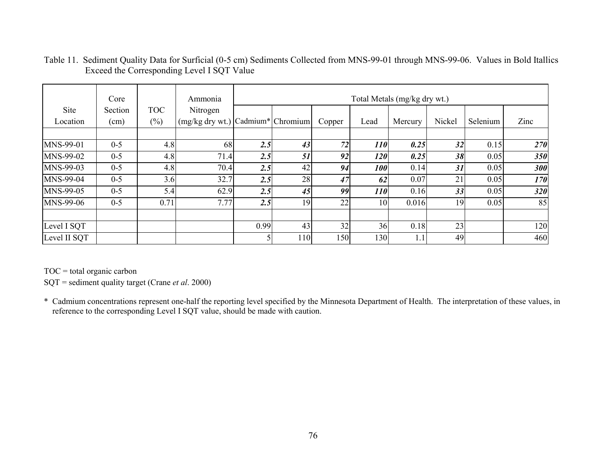|              | Core    |            | Ammonia                                        |      |     |        |            | Total Metals (mg/kg dry wt.) |        |          |      |
|--------------|---------|------------|------------------------------------------------|------|-----|--------|------------|------------------------------|--------|----------|------|
| Site         | Section | <b>TOC</b> | Nitrogen                                       |      |     |        |            |                              |        |          |      |
| Location     | (cm)    | $(\% )$    | $(mg/kg$ dry wt.) $C^{\text{admium}}$ Chromium |      |     | Copper | Lead       | Mercury                      | Nickel | Selenium | Zinc |
|              |         |            |                                                |      |     |        |            |                              |        |          |      |
| MNS-99-01    | $0 - 5$ | 4.8        | 68                                             | 2.5  | 43  | 72     | <i>110</i> | 0.25                         | 32     | 0.15     | 270  |
| MNS-99-02    | $0 - 5$ | 4.8        | 71.4                                           | 2.5  | 51  | 92     | 120        | 0.25                         | 38     | 0.05     | 350  |
| MNS-99-03    | $0 - 5$ | 4.8        | 70.4                                           | 2.5  | 42  | 94     | <b>100</b> | 0.14                         | 31     | 0.05     | 300  |
| MNS-99-04    | $0 - 5$ | 3.6        | 32.7                                           | 2.5  | 28  | 47     | 62         | 0.07                         | 21     | 0.05     | 170  |
| MNS-99-05    | $0 - 5$ | 5.4        | 62.9                                           | 2.5  | 45  | 99     | 110        | 0.16                         | 33     | 0.05     | 320  |
| MNS-99-06    | $0 - 5$ | 0.71       | 7.77                                           | 2.5  | 19  | 22     | 10         | 0.016                        | 19     | 0.05     | 85   |
|              |         |            |                                                |      |     |        |            |                              |        |          |      |
| Level I SQT  |         |            |                                                | 0.99 | 43  | 32     | 36         | 0.18                         | 23     |          | 120  |
| Level II SQT |         |            |                                                |      | 110 | 150    | 130        | 1.1                          | 49     |          | 460  |

### Table 11. Sediment Quality Data for Surficial (0-5 cm) Sediments Collected from MNS-99-01 through MNS-99-06. Values in Bold Itallics Exceed the Corresponding Level I SQT Value

 $TOC = total organic carbon$ 

SQT = sediment quality target (Crane *et al*. 2000)

\* Cadmium concentrations represent one-half the reporting level specified by the Minnesota Department of Health. The interpretation of these values, in reference to the corresponding Level I SQT value, should be made with caution.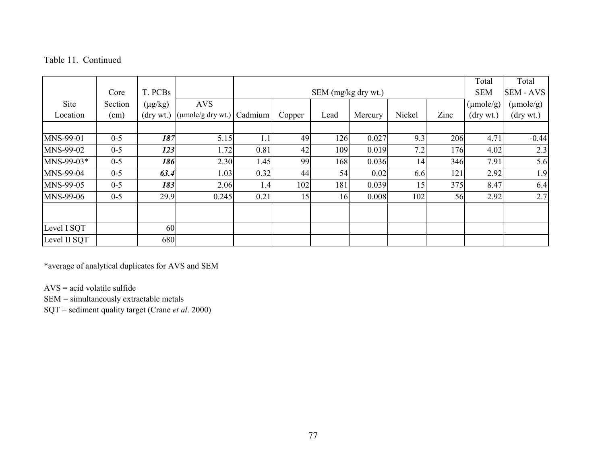|              |         |              |                                          |         |        |                     |         |        |      | Total                 | Total                 |
|--------------|---------|--------------|------------------------------------------|---------|--------|---------------------|---------|--------|------|-----------------------|-----------------------|
|              | Core    | T. PCBs      |                                          |         |        | SEM (mg/kg dry wt.) |         |        |      | <b>SEM</b>            | <b>SEM - AVS</b>      |
| Site         | Section | $(\mu g/kg)$ | <b>AVS</b>                               |         |        |                     |         |        |      | $(\mu \text{mole/g})$ | $(\mu \text{mole/g})$ |
| Location     | (cm)    | (drywt.)     | $\left(\mu \text{mole/g dry wt.}\right)$ | Cadmium | Copper | Lead                | Mercury | Nickel | Zinc | $(\text{dry wt.})$    | $(\text{dry wt.})$    |
|              |         |              |                                          |         |        |                     |         |        |      |                       |                       |
| MNS-99-01    | $0 - 5$ | 187          | 5.15                                     | 1.1     | 49     | 126                 | 0.027   | 9.3    | 206  | 4.71                  | $-0.44$               |
| MNS-99-02    | $0 - 5$ | 123          | 1.72                                     | 0.81    | 42     | 109                 | 0.019   | 7.2    | 176  | 4.02                  | 2.3                   |
| MNS-99-03*   | $0 - 5$ | 186          | 2.30                                     | 1.45    | 99     | 168                 | 0.036   | 14     | 346  | 7.91                  | 5.6                   |
| MNS-99-04    | $0 - 5$ | 63.4         | 1.03                                     | 0.32    | 44     | 54                  | 0.02    | 6.6    | 121  | 2.92                  | 1.9                   |
| MNS-99-05    | $0 - 5$ | 183          | 2.06                                     | 1.4     | 102    | 181                 | 0.039   | 15     | 375  | 8.47                  | 6.4                   |
| MNS-99-06    | $0 - 5$ | 29.9         | 0.245                                    | 0.21    | 15     | 16                  | 0.008   | 102    | 56   | 2.92                  | 2.7                   |
|              |         |              |                                          |         |        |                     |         |        |      |                       |                       |
| Level I SQT  |         | 60           |                                          |         |        |                     |         |        |      |                       |                       |
| Level II SQT |         | 680          |                                          |         |        |                     |         |        |      |                       |                       |

\*average of analytical duplicates for AVS and SEM

AVS = acid volatile sulfide

SEM = simultaneously extractable metals

SQT = sediment quality target (Crane *et al*. 2000)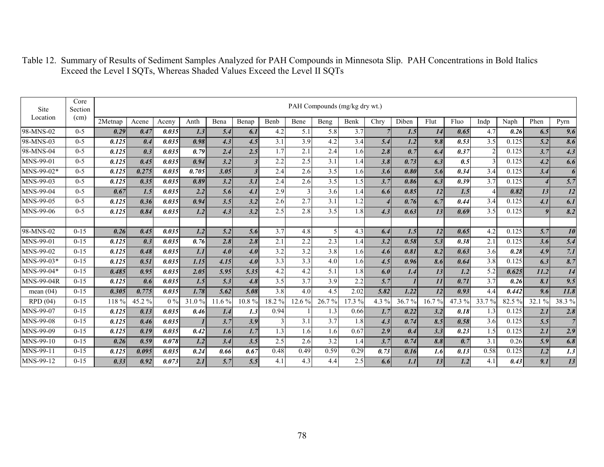| <b>Site</b>       | Core<br>Section |         |        |       |       |        |                  |                  |        |                  | PAH Compounds (mg/kg dry wt.) |                          |       |                 |        |       |        |                  |                |
|-------------------|-----------------|---------|--------|-------|-------|--------|------------------|------------------|--------|------------------|-------------------------------|--------------------------|-------|-----------------|--------|-------|--------|------------------|----------------|
| Location          | (cm)            | 2Metnap | Acene  | Aceny | Anth  | Bena   | Benap            | Benb             | Bene   | Beng             | Benk                          | Chry                     | Diben | Flut            | Fluo   | Indp  | Naph   | Phen             | Pyrn           |
| 98-MNS-02         | $0 - 5$         | 0.29    | 0.47   | 0.035 | 1.3   | 5.4    | 6.1              | 4.2              | 5.1    | 5.8              | 3.7                           |                          | 1.5   | 14              | 0.65   | 4.7   | 0.26   | 6.5              | 9.6            |
| 98-MNS-03         | $0 - 5$         | 0.125   | 0.4    | 0.035 | 0.98  | 4.3    | 4.5              | 3.1              | 3.9    | 4.2              | 3.4                           | 5.4                      | 1.2   | 9.8             | 0.53   | 3.5   | 0.125  | 5.2              | 8.6            |
| 98-MNS-04         | $0 - 5$         | 0.125   | 0.3    | 0.035 | 0.79  | 2.4    | 2.5              | 1.7              | 2.1    | 2.4              | 1.6                           | 2.8                      | 0.7   | 6.4             | 0.37   |       | 0.125  | 3.7              | 4.3            |
| MNS-99-01         | $0 - 5$         | 0.125   | 0.45   | 0.035 | 0.94  | 3.2    | $\boldsymbol{3}$ | 2.2              | 2.5    | $\overline{3.1}$ | 1.4                           | 3.8                      | 0.73  | 6.3             | 0.5    |       | 0.125  | 4.2              | 6.6            |
| MNS-99-02*        | $0 - 5$         | 0.125   | 0.275  | 0.035 | 0.705 | 3.05   | $\boldsymbol{3}$ | 2.4              | 2.6    | 3.5              | 1.6                           | 3.6                      | 0.80  | 5.6             | 0.34   | 3.4   | 0.125  | 3.4              | 6              |
| MNS-99-03         | $0 - 5$         | 0.125   | 0.35   | 0.035 | 0.89  | 3.2    | 3.1              | 2.4              | 2.6    | 3.5              | 1.5                           | 3.7                      | 0.86  | 6.3             | 0.39   | 3.7   | 0.125  |                  | 5.7            |
| MNS-99-04         | $0 - 5$         | 0.67    | 1.5    | 0.035 | 2.2   | 5.6    | 4.1              | 2.9              |        | 3.6              | 1.4                           | 6.6                      | 0.85  | 12              | 1.5    |       | 0.82   | 13               | 12             |
| MNS-99-05         | $0 - 5$         | 0.125   | 0.36   | 0.035 | 0.94  | 3.5    | 3.2              | 2.6              | 2.7    | 3.1              | 1.2                           | $\overline{\mathcal{A}}$ | 0.76  | 6.7             | 0.44   | 3.4   | 0.125  | 4.1              | 6.1            |
| MNS-99-06         | $0 - 5$         | 0.125   | 0.84   | 0.035 | 1.2   | 4.3    | 3.2              | 2.5              | 2.8    | 3.5              | 1.8                           | 4.3                      | 0.63  | 13              | 0.69   | 3.5   | 0.125  | $\boldsymbol{g}$ | 8.2            |
|                   |                 |         |        |       |       |        |                  |                  |        |                  |                               |                          |       |                 |        |       |        |                  |                |
| 98-MNS-02         | $0 - 15$        | 0.26    | 0.45   | 0.035 | 1.2   | 5.2    | 5.6              | $\overline{3.7}$ | 4.8    | $\overline{5}$   | 4.3                           | 6.4                      | 1.5   | 12              | 0.65   | 4.2   | 0.125  | 5.7              | 10             |
| MNS-99-01         | $0 - 15$        | 0.125   | 0.3    | 0.035 | 0.76  | 2.8    | 2.8              | 2.1              | 2.2    | 2.3              | 1.4                           | 3.2                      | 0.58  | 5.3             | 0.38   | 2.1   | 0.125  | 3.6              | 5.4            |
| MNS-99-02         | $0-15$          | 0.125   | 0.48   | 0.035 | 1.1   | 4.0    | 4.0              | 3.2              | 3.2    | 3.8              | 1.6                           | 4.6                      | 0.81  | 8.2             | 0.63   | 3.6   | 0.28   | 4.9              | 7.1            |
| $MNS-99-03*$      | $0 - 15$        | 0.125   | 0.51   | 0.035 | 1.15  | 4.15   | 4.0              | 3.3              | 3.3    | 4.0              | 1.6                           | 4.5                      | 0.96  | 8.6             | 0.64   | 3.8   | 0.125  | 6.3              | 8.7            |
| MNS-99-04*        | $0 - 15$        | 0.485   | 0.95   | 0.035 | 2.05  | 5.95   | 5.35             | 4.2              | 4.2    | 5.1              | 1.8                           | 6.0                      | 1.4   | 13              | 1.2    | 5.2   | 0.625  | 11.2             | 14             |
| <b>MNS-99-04R</b> | $0 - 15$        | 0.125   | 0.6    | 0.035 | 1.5   | 5.3    | 4.8              | 3.5              | 3.7    | 3.9              | 2.2                           | 5.7                      |       | $\overline{11}$ | 0.71   | 3.7   | 0.26   | 8.1              | 9.5            |
| mean $(04)$       | $0 - 15$        | 0.305   | 0.775  | 0.035 | 1.78  | 5.62   | 5.08             | 3.8              | 4.0    | 4.5              | 2.02                          | 5.82                     | 1.22  | 12              | 0.93   | 4.4   | 0.442  | 9.6              | 11.8           |
| RPD(04)           | $0 - 15$        | 118 %   | 45.2 % | $0\%$ | 31.0% | 11.6 % | 10.8%            | 18.2%            | 12.6 % | 26.7%            | 17.3 %                        | 4.3 %                    | 36.7% | 16.7%           | 47.3 % | 33.7% | 82.5 % | 32.1 %           | 38.3%          |
| MNS-99-07         | $0 - 15$        | 0.125   | 0.13   | 0.035 | 0.46  | 1.4    | 1.3              | 0.94             |        | 1.3              | 0.66                          | 1.7                      | 0.22  | 3.2             | 0.18   | 1.3   | 0.125  | 2.1              | 2.8            |
| MNS-99-08         | $0 - 15$        | 0.125   | 0.46   | 0.035 |       | 3.7    | 3.9              | $\overline{3}$   | 3.1    | 3.7              | 1.8                           | 4.3                      | 0.74  | 8.5             | 0.58   | 3.6   | 0.125  | 5.5              | $\overline{7}$ |
| MNS-99-09         | $0 - 15$        | 0.125   | 0.19   | 0.035 | 0.42  | 1.6    | 1.7              | 1.3              | 1.6    | 1.6              | 0.67                          | 2.9                      | 0.4   | 3.3             | 0.23   | 1.5   | 0.125  | 2.1              | 2.9            |
| MNS-99-10         | $0 - 15$        | 0.26    | 0.59   | 0.078 | 1.2   | 3.4    | 3.5              | 2.5              | 2.6    | 3.2              | 1.4                           | 3.7                      | 0.74  | 8.8             | 0.7    | 3.1   | 0.26   | 5.9              | 6.8            |
| MNS-99-11         | $0 - 15$        | 0.125   | 0.095  | 0.035 | 0.24  | 0.66   | 0.67             | 0.48             | 0.49   | 0.59             | 0.29                          | 0.73                     | 0.16  | 1.6             | 0.13   | 0.58  | 0.125  | 1.2              | 1.3            |
| MNS-99-12         | $0 - 15$        | 0.33    | 0.92   | 0.073 | 2.1   | 5.7    | 5.5              | 4.1              | 4.3    | 4.4              | 2.5                           | 6.6                      | 1.1   | 13              | 1.2    | 4.1   | 0.43   | 9.1              | 13             |

Table 12. Summary of Results of Sediment Samples Analyzed for PAH Compounds in Minnesota Slip. PAH Concentrations in Bold Italics Exceed the Level I SQTs, Whereas Shaded Values Exceed the Level II SQTs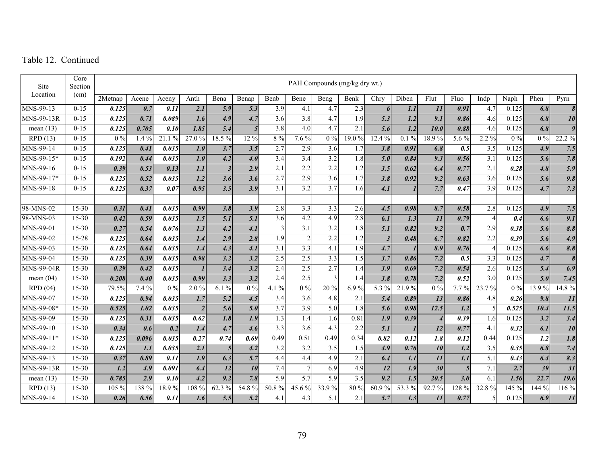| Site              | Core<br>Section |         |         |       |                   |                  |                  |                   |                  |                  | PAH Compounds (mg/kg dry wt.) |                  |         |                  |       |                   |       |                  |                           |
|-------------------|-----------------|---------|---------|-------|-------------------|------------------|------------------|-------------------|------------------|------------------|-------------------------------|------------------|---------|------------------|-------|-------------------|-------|------------------|---------------------------|
| Location          | (cm)            | 2Metnap | Acene   | Aceny | Anth              | Bena             | Benap            | Benb              | Bene             | Beng             | Benk                          | Chry             | Diben   | Flut             | Fluo  | Indp              | Naph  | Phen             | Pyrn                      |
| $MNS-99-13$       | $0 - 15$        | 0.125   | 0.7     | 0.11  | 2.1               | 5.9              | 5.3              | 3.9               | 4.1              | 4.7              | 2.3                           | 6                | 1.1     | 11               | 0.91  | 4.7               | 0.125 | 6.8              | 8                         |
| $MNS-99-13R$      | $0 - 15$        | 0.125   | 0.71    | 0.089 | 1.6               | 4.9              | 4.7              | 3.6               | 3.8              | 4.7              | 1.9                           | 5.3              | 1.2     | 9.1              | 0.86  | 4.6               | 0.125 | 6.8              | 10                        |
| mean $(13)$       | $0 - 15$        | 0.125   | 0.705   | 0.10  | 1.85              | 5.4              | $\overline{5}$   | 3.8               | 4.0              | 4.7              | 2.1                           | 5.6              | 1.2     | 10.0             | 0.88  | 4.6               | 0.125 | 6.8              | 9                         |
| RPD(13)           | $0 - 15$        | $0\%$   | $1.4\%$ | 21.1% | 27.0%             | 18.5%            | 12 %             | 8 %               | 7.6%             | $0\%$            | 19.0 %                        | 12.4 %           | $0.1\%$ | 18.9%            | 5.6 % | $2.2\%$           | $0\%$ | $0\%$            | 22.2 %                    |
| $MNS-99-14$       | $0 - 15$        | 0.125   | 0.41    | 0.035 | 1.0               | 3.7              | 3.5              | 2.7               | 2.9              | 3.6              | 1.7                           | 3.8              | 0.91    | 6.8              | 0.5   | 3.5               | 0.125 | 4.9              | 7.5                       |
| MNS-99-15*        | $0 - 15$        | 0.192   | 0.44    | 0.035 | 1.0               | 4.2              | 4.0              | $\overline{3.4}$  | $\overline{3.4}$ | $\overline{3.2}$ | 1.8                           | 5.0              | 0.84    | 9.3              | 0.56  | 3.1               | 0.125 | 5.6              | 7.8                       |
| MNS-99-16         | $0 - 15$        | 0.39    | 0.53    | 0.13  | 1.1               | $\overline{3}$   | 2.9              | 2.1               | 2.2              | 2.2              | 1.2                           | 3.5              | 0.62    | 6.4              | 0.77  | 2.1               | 0.28  | 4.8              | $\overline{5.9}$          |
| MNS-99-17*        | $0 - 15$        | 0.125   | 0.52    | 0.035 | 1.2               | 3.6              | 3.6              | 2.7               | 2.9              | 3.6              | 1.7                           | 3.8              | 0.92    | 9.2              | 0.63  | 3.6               | 0.125 | 5.6              | 9.8                       |
| MNS-99-18         | $0 - 15$        | 0.125   | 0.37    | 0.07  | 0.95              | 3.5              | 3.9              | 3.1               | 3.2              | 3.7              | 1.6                           | 4.1              |         | 7.7              | 0.47  | 3.9               | 0.125 | 4.7              | 7.3                       |
|                   |                 |         |         |       |                   |                  |                  |                   |                  |                  |                               |                  |         |                  |       |                   |       |                  |                           |
| 98-MNS-02         | $15 - 30$       | 0.31    | 0.41    | 0.035 | 0.99              | 3.8              | 3.9              | 2.8               | 3.3              | 3.3              | 2.6                           | 4.5              | 0.98    | 8.7              | 0.58  | 2.8               | 0.125 | 4.9              | 7.5                       |
| 98-MNS-03         | $15 - 30$       | 0.42    | 0.59    | 0.035 | $\overline{1.5}$  | $\overline{5.1}$ | $\overline{5.1}$ | 3.6               | 4.2              | 4.9              | 2.8                           | 6.1              | 1.3     | 11               | 0.79  | $\overline{4}$    | 0.4   | $\overline{6.6}$ | 9.1                       |
| MNS-99-01         | 15-30           | 0.27    | 0.54    | 0.076 | 1.3               | 4.2              | 4.1              | 3                 | $\overline{3.1}$ | $\overline{3.2}$ | 1.8                           | 5.1              | 0.82    | 9.2              | 0.7   | 2.9               | 0.38  | 5.6              | 8.8                       |
| MNS-99-02         | 15-28           | 0.125   | 0.64    | 0.035 | 1.4               | 2.9              | 2.8              | 1.9               | 2                | 2.2              | 1.2                           | $\mathfrak{Z}$   | 0.48    | 6.7              | 0.82  | 2.2               | 0.39  | 5.6              | 4.9                       |
| MNS-99-03         | 15-30           | 0.125   | 0.64    | 0.035 | 1.4               | 4.3              | 4.1              | $\overline{3.1}$  | $\overline{3.3}$ | 4.1              | $\overline{1.9}$              | 4.7              |         | 8.9              | 0.76  | $\overline{4}$    | 0.125 | 6.6              | 8.8                       |
| MNS-99-04         | $15 - 30$       | 0.125   | 0.39    | 0.035 | 0.98              | $\overline{3.2}$ | $\overline{3.2}$ | 2.5               | 2.5              | 3.3              | 1.5                           | 3.7              | 0.86    | 7.2              | 0.5   | 3.3               | 0.125 | 4.7              | $\boldsymbol{s}$          |
| MNS-99-04R        | 15-30           | 0.29    | 0.42    | 0.035 |                   | 3.4              | 3.2              | 2.4               | 2.5              | 2.7              | 1.4                           | 3.9              | 0.69    | 7.2              | 0.54  | 2.6               | 0.125 | 5.4              | 6.9                       |
| mean $(04)$       | $15 - 30$       | 0.208   | 0.40    | 0.035 | 0.99              | 3.3              | 3.2              | 2.4               | 2.5              | 3                | 1.4                           | 3.8              | 0.78    | 7.2              | 0.52  | 3.0               | 0.125 | 5.0              | 7.45                      |
| RPD(04)           | $15 - 30$       | 79.5%   | 7.4 %   | $0\%$ | $2.0\%$           | $6.1\%$          | $0\%$            | 4.1 $\frac{6}{6}$ | $\overline{0\%}$ | $20\,\sqrt{2}$   | 6.9%                          | 5.3 %            | 21.9%   | $\overline{0\%}$ | 7.7%  | $23.7\,\sqrt{20}$ | $0\%$ | 13.9 %           | 14.8 %                    |
| MNS-99-07         | $15 - 30$       | 0.125   | 0.94    | 0.035 | 1.7               | 5.2              | 4.5              | 3.4               | 3.6              | 4.8              | 2.1                           | 5.4              | 0.89    | 13               | 0.86  | 4.8               | 0.26  | 9.8              | $\overline{11}$           |
| MNS-99-08*        | $15 - 30$       | 0.525   | 1.02    | 0.035 | $\boldsymbol{2}$  | 5.6              | 5.0              | 3.7               | 3.9              | 5.0              | 1.8                           | 5.6              | 0.98    | 12.5             | 1.2   | 5                 | 0.525 | 10.4             | 11.5                      |
| MNS-99-09         | $15 - 30$       | 0.125   | 0.31    | 0.035 | 0.62              | 1.8              | 1.9              | 1.3               | 1.4              | 1.6              | 0.81                          | 1.9              | 0.39    | $\overline{4}$   | 0.39  | 1.6               | 0.125 | 3.2              | 3.4                       |
| MNS-99-10         | 15-30           | 0.34    | 0.6     | 0.2   | 1.4               | 4.7              | 4.6              | $\overline{3.3}$  | $\overline{3.6}$ | 4.3              | 2.2                           | $\overline{5.1}$ |         | 12               | 0.77  | 4.1               | 0.32  | 6.1              | $\overline{10}$           |
| MNS-99-11*        | $15 - 30$       | 0.125   | 0.096   | 0.035 | $\overline{0.27}$ | 0.74             | 0.69             | 0.49              | 0.51             | 0.49             | 0.34                          | 0.82             | 0.12    | 1.8              | 0.12  | 0.44              | 0.125 | $\overline{1.2}$ | $\overline{1.8}$          |
| MNS-99-12         | $15 - 30$       | 0.125   | 1.1     | 0.035 | 2.1               | 5'               | 4.2              | 3.2               | 3.2              | 3.5              | 1.5                           | 4.9              | 0.76    | 10               | 1.2   | 3.5               | 0.35  | 6.8              | 7.4                       |
| MNS-99-13         | $15 - 30$       | 0.37    | 0.89    | 0.11  | 1.9               | 6.3              | $\overline{5.7}$ | 4.4               | 4.4              | 4.9              | 2.1                           | 6.4              | 1.1     | 11               | 1.1   | 5.1               | 0.43  | 6.4              | $\overline{\mathbf{8.3}}$ |
| <b>MNS-99-13R</b> | 15-30           | 1.2     | 4.9     | 0.091 | 6.4               | $\overline{12}$  | $\overline{10}$  | 7.4               | $\overline{7}$   | 6.9              | 4.9                           | 12               | 1.9     | $\overline{30}$  | 5     | 7.1               | 2.7   | 39               | $\overline{31}$           |
| mean $(13)$       | $15 - 30$       | 0.785   | 2.9     | 0.10  | $\overline{4.2}$  | $\overline{9.2}$ | 7.8              | $\overline{5.9}$  | $\overline{5.7}$ | 5.9              | 3.5                           | 9.2              | 1.5     | 20.5             | 3.0   | 6.1               | 1.56  | 22.7             | 19.6                      |
| RPD(13)           | $15 - 30$       | 105 %   | 138 %   | 18.9% | 108 %             | 62.3 %           | 54.8%            | 50.8%             | 45.6 %           | 33.9%            | 80 %                          | 60.9%            | 53.3 %  | 92.7%            | 128 % | 32.8%             | 145 % | 144 %            | 116 %                     |
| MNS-99-14         | $15 - 30$       | 0.26    | 0.56    | 0.11  | 1.6               | 5.5              | 5.2              | 4.1               | 4.3              | 5.1              | 2.1                           | 5.7              | 1.3     | 11               | 0.77  | 5                 | 0.125 | 6.9              | $\overline{11}$           |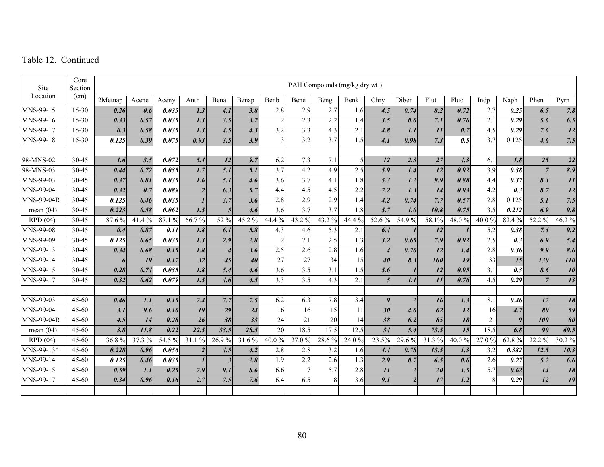| Site              | Core<br>Section |         |        |        |                   |                  |                  |                     |                  |                  | PAH Compounds (mg/kg dry wt.) |                  |                |                 |                   |                  |                           |                  |                              |
|-------------------|-----------------|---------|--------|--------|-------------------|------------------|------------------|---------------------|------------------|------------------|-------------------------------|------------------|----------------|-----------------|-------------------|------------------|---------------------------|------------------|------------------------------|
| Location          | (cm)            | 2Metnap | Acene  | Aceny  | Anth              | Bena             | Benap            | Benb                | Bene             | Beng             | Benk                          | Chry             | Diben          | Flut            | Fluo              | Indp             | Naph                      | Phen             | Pyrn                         |
| MNS-99-15         | 15-30           | 0.26    | 0.6    | 0.035  | 1.3               | 4.1              | 3.8              | 2.8                 | 2.9              | 2.7              | 1.6                           | 4.5              | 0.74           | 8.2             | 0.72              | 2.7              | 0.25                      | 6.5              | 7.8                          |
| MNS-99-16         | $15 - 30$       | 0.33    | 0.57   | 0.035  | $\overline{1.3}$  | 3.5              | $\overline{3.2}$ | $\overline{2}$      | 2.3              | 2.2              | 1.4                           | 3.5              | 0.6            | 7.1             | 0.76              | $\overline{2.1}$ | 0.29                      | 5.6              | 6.5                          |
| MNS-99-17         | $15 - 30$       | 0.3     | 0.58   | 0.035  | $\overline{1.3}$  | 4.5              | 4.3              | $\overline{3.2}$    | 3.3              | 4.3              | 2.1                           | 4.8              | 1.1            | 11              | 0.7               | 4.5              | 0.29                      | 7.6              | $\overline{12}$              |
| MNS-99-18         | $15 - 30$       | 0.125   | 0.39   | 0.075  | $\overline{0.93}$ | 3.5              | $\overline{3.9}$ |                     | 3.2              | 3.7              | 1.5                           | 4.1              | 0.98           | 7.3             | 0.5               | 3.7              | 0.125                     | 4.6              | 7.5                          |
|                   |                 |         |        |        |                   |                  |                  |                     |                  |                  |                               |                  |                |                 |                   |                  |                           |                  |                              |
| 98-MNS-02         | 30-45           | 1.6     | 3.5    | 0.072  | 5.4               | $\overline{12}$  | 9.7              | 6.2                 | 7.3              | 7.1              | $\overline{\phantom{0}}$      | 12               | 2.3            | 27              | 4.3               | 6.1              | 1.8                       | 25               | 22                           |
| 98-MNS-03         | 30-45           | 0.44    | 0.72   | 0.035  | $\overline{1.7}$  | $\overline{5.1}$ | 5.1              | $\overline{3.7}$    | 4.2              | 4.9              | 2.5                           | 5.9              | 1.4            | $\overline{12}$ | 0.92              | $\overline{3.9}$ | 0.38                      | $\overline{7}$   | $\overline{\mathbf{8.9}}$    |
| MNS-99-03         | 30-45           | 0.37    | 0.81   | 0.035  | 1.6               | 5.1              | 4.6              | 3.6                 | 3.7              | 4.1              | 1.8                           | 5.3              | 1.2            | 9.9             | 0.88              | 4.4              | 0.37                      | 8.3              | 11                           |
| $MNS-99-04$       | 30-45           | 0.32    | 0.7    | 0.089  | $\overline{2}$    | 6.3              | 5.7              | 4.4                 | 4.5              | 4.5              | 2.2                           | 7.2              | 1.3            | 14              | 0.93              | 4.2              | 0.3                       | 8.7              | $\overline{12}$              |
| <b>MNS-99-04R</b> | 30-45           | 0.125   | 0.46   | 0.035  | $\boldsymbol{l}$  | 3.7              | 3.6              | 2.8                 | 2.9              | 2.9              | 1.4                           | 4.2              | 0.74           | 7.7             | 0.57              | 2.8              | 0.125                     | 5.1              | 7.5                          |
| mean $(04)$       | 30-45           | 0.223   | 0.58   | 0.062  | 1.5               | $\mathfrak{H}$   | 4.6              | 3.6                 | 3.7              | $\overline{3.7}$ | 1.8                           | 5.7              | 1.0            | 10.8            | 0.75              | $\overline{3.5}$ | 0.212                     | 6.9              | 9.8                          |
| RPD(04)           | 30-45           | 87.6%   | 41.4%  | 87.1 % | 66.7%             | 52%              | 45.2%            | $44.\overline{4\%}$ | 43.2 %           | 43.2 %           | 44.4 %                        | $52.6\%$         | 54.9%          | 58.1%           | 48.0%             | 40.0%            | 82.4%                     | 52.2 %           | 46.2 %                       |
| MNS-99-08         | 30-45           | 0.4     | 0.87   | 0.11   | 1.8               | 6.1              | 5.8              | 4.3                 | 4.6              | 5.3              | 2.1                           | 6.4              |                | 12              |                   | 5.2              | 0.38                      | 7.4              | 9.2                          |
| MNS-99-09         | 30-45           | 0.125   | 0.65   | 0.035  | 1.3               | 2.9              | 2.8              | $\overline{2}$      | $\overline{2.1}$ | 2.5              | 1.3                           | 3.2              | 0.65           | 7.9             | $\overline{0.92}$ | 2.5              | 0.3                       | 6.9              | 5.4                          |
| MNS-99-13         | 30-45           | 0.34    | 0.68   | 0.15   | 1.8               | $\overline{4}$   | 3.6              | 2.5                 | 2.6              | 2.8              | 1.6                           | $\overline{4}$   | 0.76           | $\overline{12}$ | 1.4               | 2.8              | 0.36                      | $\overline{9.9}$ | 8.6                          |
| MNS-99-14         | 30-45           | 6       | 19     | 0.17   | $\overline{32}$   | $\overline{45}$  | 40               | 27                  | 27               | 34               | 15                            | 40               | 8.3            | 100             | 19                | 33               | 15                        | 130              | <b>110</b>                   |
| MNS-99-15         | 30-45           | 0.28    | 0.74   | 0.035  | 1.8               | $\overline{5.4}$ | 4.6              | 3.6                 | 3.5              | 3.1              | $\overline{1.5}$              | 5.6              |                | $\overline{12}$ | 0.95              | 3.1              | $\overline{\mathbf{0.3}}$ | 8.6              | $\overline{10}$              |
| MNS-99-17         | 30-45           | 0.32    | 0.62   | 0.079  | 1.5               | 4.6              | 4.5              | $\overline{3.3}$    | $\overline{3.5}$ | 4.3              | $\overline{2.1}$              | $\overline{5}$   | 1.1            | 11              | 0.76              | 4.5              | 0.29                      | $\overline{7}$   | $\overline{13}$              |
|                   |                 |         |        |        |                   |                  |                  |                     |                  |                  |                               |                  |                |                 |                   |                  |                           |                  |                              |
| MNS-99-03         | $45 - 60$       | 0.46    | 1.1    | 0.15   | 2.4               | 7.7              | 7.5              | 6.2                 | 6.3              | 7.8              | 3.4                           | $\boldsymbol{9}$ | $\overline{2}$ | 16              | 1.3               | 8.1              | 0.46                      | 12               | 18                           |
| MNS-99-04         | $45 - 60$       | 3.1     | 9.6    | 0.16   | 19                | $\overline{29}$  | 24               | 16                  | 16               | $\overline{15}$  | 11                            | 30               | 4.6            | 62              | 12                | 16               | 4.7                       | 80               | $\overline{59}$              |
| <b>MNS-99-04R</b> | $45 - 60$       | 4.5     | 14     | 0.28   | $\overline{26}$   | 38               | 33               | 24                  | 21               | 20               | 14                            | 38               | 6.2            | 85              | 18                | 21               | 9                         | 100              | $\overline{\boldsymbol{80}}$ |
| mean $(04)$       | $45 - 60$       | 3.8     | 11.8   | 0.22   | 22.5              | 33.5             | 28.5             | 20                  | 18.5             | 17.5             | 12.5                          | 34               | 5.4            | 73.5            | 15                | 18.5             | 6.8                       | 90               | 69.5                         |
| RPD(04)           | 45-60           | 36.8%   | 37.3 % | 54.5 % | 31.1%             | 26.9%            | 31.6%            | 40.0 %              | 27.0 %           | 28.6%            | 24.0 %                        | 23.5%            | 29.6%          | 31.3%           | 40.0%             | 27.0%            | 62.8 %                    | 22.2 %           | 30.2 %                       |
| MNS-99-13*        | 45-60           | 0.228   | 0.96   | 0.056  | $\boldsymbol{2}$  | 4.5              | 4.2              | 2.8                 | 2.8              | 3.2              | 1.6                           | 4.4              | 0.78           | 13.5            | 1.3               | 3.2              | 0.382                     | 12.5             | 10.3                         |
| MNS-99-14         | $45 - 60$       | 0.125   | 0.46   | 0.035  | $\mathbf{I}$      | $\overline{3}$   | 2.8              | 1.9                 | 2.2              | 2.6              | 1.3                           | 2.9              | 0.7            | 6.5             | 0.6               | 2.6              | 0.27                      | 5.2              | 6.6                          |
| MNS-99-15         | $45 - 60$       | 0.59    | 1.1    | 0.25   | 2.9               | 9.1              | 8.6              | 6.6                 | $\overline{7}$   | $\overline{5.7}$ | 2.8                           | 11               | $\overline{2}$ | $\overline{20}$ | 1.5               | $\overline{5.7}$ | 0.62                      | $\overline{14}$  | $\overline{18}$              |
| MNS-99-17         | $45 - 60$       | 0.34    | 0.96   | 0.16   | 2.7               | 7.5              | 7.6              | 6.4                 | 6.5              | 8                | 3.6                           | $\overline{9.1}$ | $\overline{c}$ | $\overline{17}$ | 1.2               | 8                | 0.29                      | 12               | 19                           |
|                   |                 |         |        |        |                   |                  |                  |                     |                  |                  |                               |                  |                |                 |                   |                  |                           |                  |                              |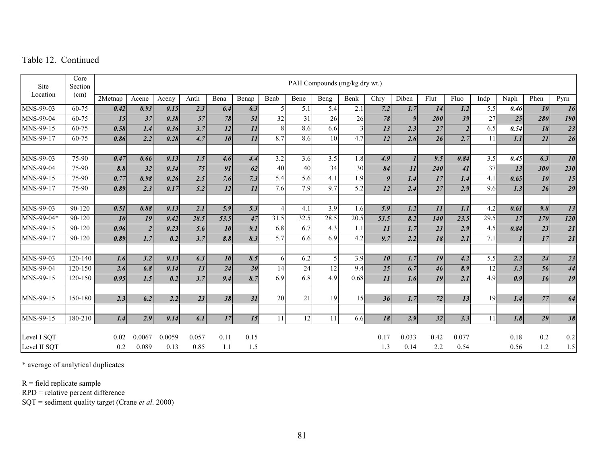| Site         | Core<br>Section |            |                |        |       |                 |       |                |      |                 | PAH Compounds (mg/kg dry wt.) |                       |       |                 |                |                 |      |      |                 |
|--------------|-----------------|------------|----------------|--------|-------|-----------------|-------|----------------|------|-----------------|-------------------------------|-----------------------|-------|-----------------|----------------|-----------------|------|------|-----------------|
| Location     | (cm)            | $2$ Metnap | Acene          | Aceny  | Anth  | Bena            | Benap | Benb           | Bene | Beng            | Benk                          | Chry                  | Diben | Flut            | Fluo           | Indp            | Naph | Phen | Pyrn            |
| MNS-99-03    | 60-75           | 0.42       | 0.93           | 0.15   | 2.3   | 6.4             | 6.3   | 5              | 5.1  | 5.4             | 2.1                           | 7.2                   | 1.7   | 14              | 1.2            | 5.5             | 0.46 | 10   | 16              |
| MNS-99-04    | 60-75           | 15         | 37             | 0.38   | 57    | 78              | 51    | 32             | 31   | 26              | 26                            | 78                    | 9     | 200             | 39             | 27              | 25   | 280  | 190             |
| MNS-99-15    | 60-75           | 0.58       | 1.4            | 0.36   | 3.7   | 12              | 11    | 8              | 8.6  | 6.6             |                               | 13                    | 2.3   | $\overline{27}$ | $\overline{2}$ | 6.5             | 0.54 | 18   | $\overline{23}$ |
| MNS-99-17    | 60-75           | 0.86       | 2.2            | 0.28   | 4.7   | 10              | 11    | 8.7            | 8.6  | 10              | 4.7                           | 12                    | 2.6   | 26              | 2.7            | 11              | 1.1  | 21   | $\overline{26}$ |
|              |                 |            |                |        |       |                 |       |                |      |                 |                               |                       |       |                 |                |                 |      |      |                 |
| MNS-99-03    | 75-90           | 0.47       | 0.66           | 0.13   | 1.5   | 4.6             | 4.4   | 3.2            | 3.6  | 3.5             | 1.8                           | 4.9                   |       | 9.5             | 0.84           | 3.5             | 0.45 | 6.3  | 10              |
| MNS-99-04    | 75-90           | 8.8        | 32             | 0.34   | 75    | $\overline{91}$ | 62    | 40             | 40   | $\overline{34}$ | $\overline{30}$               | $\overline{\delta 4}$ | 11    | 240             | 41             | $\overline{37}$ | 13   | 300  | 230             |
| MNS-99-15    | 75-90           | 0.77       | 0.98           | 0.26   | 2.5   | 7.6             | 7.3   | 5.4            | 5.6  | 4.1             | 1.9                           | $\boldsymbol{q}$      | 1.4   | 17              | 1.4            | 4.1             | 0.65 | 10   | 15              |
| MNS-99-17    | 75-90           | 0.89       | 2.3            | 0.17   | 5.2   | 12              | 11    | 7.6            | 7.9  | 9.7             | 5.2                           | 12                    | 2.4   | 27              | 2.9            | 9.6             | 1.3  | 26   | $\overline{29}$ |
|              |                 |            |                |        |       |                 |       |                |      |                 |                               |                       |       |                 |                |                 |      |      |                 |
| MNS-99-03    | $90 - 120$      | 0.51       | 0.88           | 0.13   | 2.1   | 5.9             | 5.3   | $\overline{4}$ | 4.1  | 3.9             | 1.6                           | 5.9                   | 1.2   | 11              | 1.1            | 4.2             | 0.61 | 9.8  | 13              |
| MNS-99-04*   | 90-120          | 10         | 19             | 0.42   | 28.5  | 53.5            | 47    | 31.5           | 32.5 | 28.5            | 20.5                          | 53.5                  | 8.2   | <b>140</b>      | 23.5           | 29.5            | 17   | 170  | <b>120</b>      |
| MNS-99-15    | 90-120          | 0.96       | $\overline{2}$ | 0.23   | 5.6   | 10              | 9.1   | 6.8            | 6.7  | 4.3             | 1.1                           | 11                    | 1.7   | 23              | 2.9            | 4.5             | 0.84 | 23   | $\overline{21}$ |
| MNS-99-17    | 90-120          | 0.89       | 1.7            | 0.2    | 3.7   | 8.8             | 8.3   | 5.7            | 6.6  | 6.9             | 4.2                           | 9.7                   | 2.2   | 18              | 2.1            | 7.1             |      | 17   | $\overline{21}$ |
|              |                 |            |                |        |       |                 |       |                |      |                 |                               |                       |       |                 |                |                 |      |      |                 |
| MNS-99-03    | 120-140         | 1.6        | 3.2            | 0.13   | 6.3   | 10              | 8.5   | 6              | 6.2  | $\mathfrak{H}$  | 3.9                           | 10                    | 1.7   | 19              | 4.2            | 5.5             | 2.2  | 24   | 23              |
| MNS-99-04    | 120-150         | 2.6        | 6.8            | 0.14   | 13    | 24              | 20    | 14             | 24   | 12              | 9.4                           | 25                    | 6.7   | 46              | 8.9            | 12              | 3.3  | 56   | 44              |
| MNS-99-15    | 120-150         | 0.95       | 1.5            | 0.2    | 3.7   | 9.4             | 8.7   | 6.9            | 6.8  | 4.9             | 0.68                          | 11                    | 1.6   | 19              | 2.1            | 4.9             | 0.9  | 16   | 19              |
| MNS-99-15    | 150-180         | 2.3        | 6.2            | 2.2    | 23    | 38              | 31    | 20             | 21   | 19              | 15                            | 36                    | 1.7   | 72              | 13             | 19              | 1.4  | 77   | 64              |
|              |                 |            |                |        |       |                 |       |                |      |                 |                               |                       |       |                 |                |                 |      |      |                 |
| MNS-99-15    | 180-210         | 1.4        | 2.9            | 0.14   | 6.1   | 17              | 15    | 11             | 12   | 11              | 6.6                           | 18                    | 2.9   | 32              | 3.3            | 11              | 1.8  | 29   | 38              |
|              |                 |            |                |        |       |                 |       |                |      |                 |                               |                       |       |                 |                |                 |      |      |                 |
| Level I SQT  |                 | 0.02       | 0.0067         | 0.0059 | 0.057 | 0.11            | 0.15  |                |      |                 |                               | 0.17                  | 0.033 | 0.42            | 0.077          |                 | 0.18 | 0.2  | 0.2             |
| Level II SQT |                 | 0.2        | 0.089          | 0.13   | 0.85  | 1.1             | 1.5   |                |      |                 |                               | 1.3                   | 0.14  | 2.2             | 0.54           |                 | 0.56 | 1.2  | $1.5\,$         |

\* average of analytical duplicates

R = field replicate sample

RPD = relative percent difference

SQT = sediment quality target (Crane *et al*. 2000)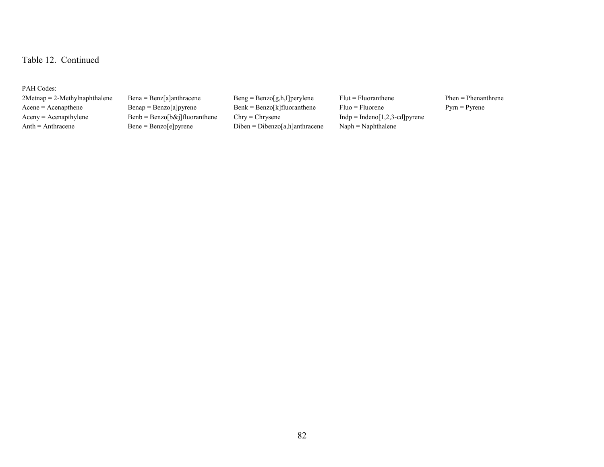PAH Codes:

2Metnap = 2-Methylnaphthalene Bena = Benz[a]anthracene Beng = Benzo[g,h,I]perylene Flut = Fluoranthene Phen = Phenanthrene Acene = Acenapthene Benap = Benzo[a]pyrene Benk = Benzo[k]fluoranthene Fluo = Fluorene Pyrn = Pyrene  $A$ ceny =  $A$ cenapthylene Benzo[b&j]fluoranthene Chry = Chrysene Indp = Indeno[1,2,3-cd]pyrene Anth = Anthracene Benzo[e]pyrene Diben = Dibenzo[a,h]anthracene Naph = Naphthalene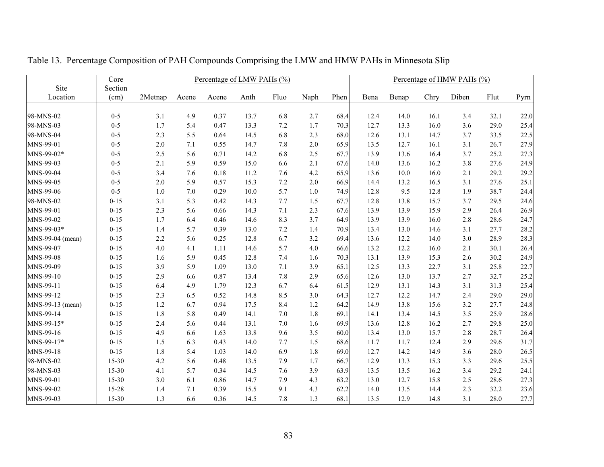|                  | Core     |         |         | Percentage of LMW PAHs (%) |      |         |       |      |      |       |      | Percentage of HMW PAHs (%) |      |      |
|------------------|----------|---------|---------|----------------------------|------|---------|-------|------|------|-------|------|----------------------------|------|------|
| Site             | Section  |         |         |                            |      |         |       |      |      |       |      |                            |      |      |
| Location         | (cm)     | 2Metnap | Acene   | Acene                      | Anth | Fluo    | Naph  | Phen | Bena | Benap | Chry | Diben                      | Flut | Pyrn |
|                  |          |         |         |                            |      |         |       |      |      |       |      |                            |      |      |
| 98-MNS-02        | $0 - 5$  | 3.1     | 4.9     | 0.37                       | 13.7 | 6.8     | 2.7   | 68.4 | 12.4 | 14.0  | 16.1 | 3.4                        | 32.1 | 22.0 |
| 98-MNS-03        | $0 - 5$  | 1.7     | 5.4     | 0.47                       | 13.3 | 7.2     | 1.7   | 70.3 | 12.7 | 13.3  | 16.0 | 3.6                        | 29.0 | 25.4 |
| 98-MNS-04        | $0 - 5$  | 2.3     | 5.5     | 0.64                       | 14.5 | 6.8     | 2.3   | 68.0 | 12.6 | 13.1  | 14.7 | 3.7                        | 33.5 | 22.5 |
| MNS-99-01        | $0 - 5$  | $2.0$   | 7.1     | 0.55                       | 14.7 | 7.8     | 2.0   | 65.9 | 13.5 | 12.7  | 16.1 | 3.1                        | 26.7 | 27.9 |
| MNS-99-02*       | $0 - 5$  | 2.5     | 5.6     | 0.71                       | 14.2 | 6.8     | 2.5   | 67.7 | 13.9 | 13.6  | 16.4 | 3.7                        | 25.2 | 27.3 |
| MNS-99-03        | $0 - 5$  | 2.1     | 5.9     | 0.59                       | 15.0 | 6.6     | 2.1   | 67.6 | 14.0 | 13.6  | 16.2 | 3.8                        | 27.6 | 24.9 |
| MNS-99-04        | $0 - 5$  | 3.4     | 7.6     | 0.18                       | 11.2 | 7.6     | 4.2   | 65.9 | 13.6 | 10.0  | 16.0 | 2.1                        | 29.2 | 29.2 |
| MNS-99-05        | $0 - 5$  | 2.0     | 5.9     | 0.57                       | 15.3 | 7.2     | $2.0$ | 66.9 | 14.4 | 13.2  | 16.5 | 3.1                        | 27.6 | 25.1 |
| MNS-99-06        | $0 - 5$  | 1.0     | $7.0\,$ | 0.29                       | 10.0 | 5.7     | 1.0   | 74.9 | 12.8 | 9.5   | 12.8 | 1.9                        | 38.7 | 24.4 |
| 98-MNS-02        | $0 - 15$ | 3.1     | 5.3     | 0.42                       | 14.3 | 7.7     | 1.5   | 67.7 | 12.8 | 13.8  | 15.7 | 3.7                        | 29.5 | 24.6 |
| MNS-99-01        | $0 - 15$ | 2.3     | 5.6     | 0.66                       | 14.3 | 7.1     | 2.3   | 67.6 | 13.9 | 13.9  | 15.9 | 2.9                        | 26.4 | 26.9 |
| MNS-99-02        | $0 - 15$ | 1.7     | 6.4     | 0.46                       | 14.6 | 8.3     | 3.7   | 64.9 | 13.9 | 13.9  | 16.0 | 2.8                        | 28.6 | 24.7 |
| MNS-99-03*       | $0 - 15$ | 1.4     | 5.7     | 0.39                       | 13.0 | 7.2     | 1.4   | 70.9 | 13.4 | 13.0  | 14.6 | 3.1                        | 27.7 | 28.2 |
| MNS-99-04 (mean) | $0 - 15$ | 2.2     | 5.6     | 0.25                       | 12.8 | 6.7     | 3.2   | 69.4 | 13.6 | 12.2  | 14.0 | 3.0                        | 28.9 | 28.3 |
| MNS-99-07        | $0 - 15$ | 4.0     | 4.1     | 1.11                       | 14.6 | 5.7     | 4.0   | 66.6 | 13.2 | 12.2  | 16.0 | 2.1                        | 30.1 | 26.4 |
| MNS-99-08        | $0 - 15$ | 1.6     | 5.9     | 0.45                       | 12.8 | $7.4\,$ | 1.6   | 70.3 | 13.1 | 13.9  | 15.3 | 2.6                        | 30.2 | 24.9 |
| MNS-99-09        | $0 - 15$ | 3.9     | 5.9     | 1.09                       | 13.0 | 7.1     | 3.9   | 65.1 | 12.5 | 13.3  | 22.7 | 3.1                        | 25.8 | 22.7 |
| MNS-99-10        | $0 - 15$ | 2.9     | 6.6     | 0.87                       | 13.4 | 7.8     | 2.9   | 65.6 | 12.6 | 13.0  | 13.7 | 2.7                        | 32.7 | 25.2 |
| MNS-99-11        | $0 - 15$ | 6.4     | 4.9     | 1.79                       | 12.3 | 6.7     | 6.4   | 61.5 | 12.9 | 13.1  | 14.3 | 3.1                        | 31.3 | 25.4 |
| MNS-99-12        | $0 - 15$ | 2.3     | 6.5     | 0.52                       | 14.8 | 8.5     | 3.0   | 64.3 | 12.7 | 12.2  | 14.7 | 2.4                        | 29.0 | 29.0 |
| MNS-99-13 (mean) | $0 - 15$ | 1.2     | 6.7     | 0.94                       | 17.5 | 8.4     | 1.2   | 64.2 | 14.9 | 13.8  | 15.6 | 3.2                        | 27.7 | 24.8 |
| MNS-99-14        | $0 - 15$ | 1.8     | 5.8     | 0.49                       | 14.1 | $7.0\,$ | 1.8   | 69.1 | 14.1 | 13.4  | 14.5 | 3.5                        | 25.9 | 28.6 |
| MNS-99-15*       | $0 - 15$ | 2.4     | 5.6     | 0.44                       | 13.1 | $7.0\,$ | 1.6   | 69.9 | 13.6 | 12.8  | 16.2 | 2.7                        | 29.8 | 25.0 |
| MNS-99-16        | $0 - 15$ | 4.9     | 6.6     | 1.63                       | 13.8 | 9.6     | 3.5   | 60.0 | 13.4 | 13.0  | 15.7 | 2.8                        | 28.7 | 26.4 |
| MNS-99-17*       | $0 - 15$ | 1.5     | 6.3     | 0.43                       | 14.0 | 7.7     | 1.5   | 68.6 | 11.7 | 11.7  | 12.4 | 2.9                        | 29.6 | 31.7 |
| MNS-99-18        | $0 - 15$ | 1.8     | 5.4     | 1.03                       | 14.0 | 6.9     | 1.8   | 69.0 | 12.7 | 14.2  | 14.9 | 3.6                        | 28.0 | 26.5 |
| 98-MNS-02        | 15-30    | 4.2     | 5.6     | 0.48                       | 13.5 | 7.9     | 1.7   | 66.7 | 12.9 | 13.3  | 15.3 | 3.3                        | 29.6 | 25.5 |
| 98-MNS-03        | 15-30    | 4.1     | 5.7     | 0.34                       | 14.5 | 7.6     | 3.9   | 63.9 | 13.5 | 13.5  | 16.2 | 3.4                        | 29.2 | 24.1 |
| MNS-99-01        | 15-30    | 3.0     | 6.1     | 0.86                       | 14.7 | 7.9     | 4.3   | 63.2 | 13.0 | 12.7  | 15.8 | 2.5                        | 28.6 | 27.3 |
| MNS-99-02        | 15-28    | 1.4     | 7.1     | 0.39                       | 15.5 | 9.1     | 4.3   | 62.2 | 14.0 | 13.5  | 14.4 | 2.3                        | 32.2 | 23.6 |
| MNS-99-03        | 15-30    | 1.3     | 6.6     | 0.36                       | 14.5 | 7.8     | 1.3   | 68.1 | 13.5 | 12.9  | 14.8 | 3.1                        | 28.0 | 27.7 |

Table 13. Percentage Composition of PAH Compounds Comprising the LMW and HMW PAHs in Minnesota Slip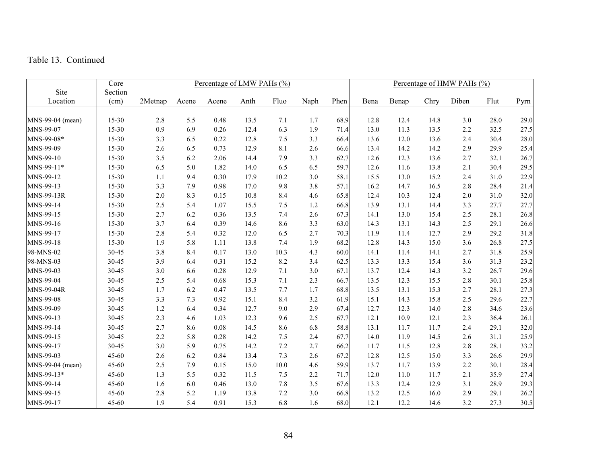|                  | Core    |         |       | Percentage of LMW PAHs (%) |      |      |      |      |      |       |      | Percentage of HMW PAHs (%) |      |      |
|------------------|---------|---------|-------|----------------------------|------|------|------|------|------|-------|------|----------------------------|------|------|
| Site             | Section |         |       |                            |      |      |      |      |      |       |      |                            |      |      |
| Location         | (cm)    | 2Metnap | Acene | Acene                      | Anth | Fluo | Naph | Phen | Bena | Benap | Chry | Diben                      | Flut | Pyrn |
|                  |         |         |       |                            |      |      |      |      |      |       |      |                            |      |      |
| MNS-99-04 (mean) | 15-30   | 2.8     | 5.5   | 0.48                       | 13.5 | 7.1  | 1.7  | 68.9 | 12.8 | 12.4  | 14.8 | 3.0                        | 28.0 | 29.0 |
| MNS-99-07        | 15-30   | 0.9     | 6.9   | 0.26                       | 12.4 | 6.3  | 1.9  | 71.4 | 13.0 | 11.3  | 13.5 | 2.2                        | 32.5 | 27.5 |
| MNS-99-08*       | 15-30   | 3.3     | 6.5   | 0.22                       | 12.8 | 7.5  | 3.3  | 66.4 | 13.6 | 12.0  | 13.6 | 2.4                        | 30.4 | 28.0 |
| MNS-99-09        | 15-30   | 2.6     | 6.5   | 0.73                       | 12.9 | 8.1  | 2.6  | 66.6 | 13.4 | 14.2  | 14.2 | 2.9                        | 29.9 | 25.4 |
| MNS-99-10        | 15-30   | 3.5     | 6.2   | 2.06                       | 14.4 | 7.9  | 3.3  | 62.7 | 12.6 | 12.3  | 13.6 | 2.7                        | 32.1 | 26.7 |
| MNS-99-11*       | 15-30   | 6.5     | 5.0   | 1.82                       | 14.0 | 6.5  | 6.5  | 59.7 | 12.6 | 11.6  | 13.8 | 2.1                        | 30.4 | 29.5 |
| MNS-99-12        | 15-30   | 1.1     | 9.4   | 0.30                       | 17.9 | 10.2 | 3.0  | 58.1 | 15.5 | 13.0  | 15.2 | 2.4                        | 31.0 | 22.9 |
| MNS-99-13        | 15-30   | 3.3     | 7.9   | 0.98                       | 17.0 | 9.8  | 3.8  | 57.1 | 16.2 | 14.7  | 16.5 | 2.8                        | 28.4 | 21.4 |
| MNS-99-13R       | 15-30   | 2.0     | 8.3   | 0.15                       | 10.8 | 8.4  | 4.6  | 65.8 | 12.4 | 10.3  | 12.4 | 2.0                        | 31.0 | 32.0 |
| MNS-99-14        | 15-30   | 2.5     | 5.4   | 1.07                       | 15.5 | 7.5  | 1.2  | 66.8 | 13.9 | 13.1  | 14.4 | 3.3                        | 27.7 | 27.7 |
| MNS-99-15        | 15-30   | 2.7     | 6.2   | 0.36                       | 13.5 | 7.4  | 2.6  | 67.3 | 14.1 | 13.0  | 15.4 | 2.5                        | 28.1 | 26.8 |
| MNS-99-16        | 15-30   | 3.7     | 6.4   | 0.39                       | 14.6 | 8.6  | 3.3  | 63.0 | 14.3 | 13.1  | 14.3 | 2.5                        | 29.1 | 26.6 |
| MNS-99-17        | 15-30   | 2.8     | 5.4   | 0.32                       | 12.0 | 6.5  | 2.7  | 70.3 | 11.9 | 11.4  | 12.7 | 2.9                        | 29.2 | 31.8 |
| MNS-99-18        | 15-30   | 1.9     | 5.8   | 1.11                       | 13.8 | 7.4  | 1.9  | 68.2 | 12.8 | 14.3  | 15.0 | 3.6                        | 26.8 | 27.5 |
| 98-MNS-02        | 30-45   | 3.8     | 8.4   | 0.17                       | 13.0 | 10.3 | 4.3  | 60.0 | 14.1 | 11.4  | 14.1 | 2.7                        | 31.8 | 25.9 |
| 98-MNS-03        | 30-45   | 3.9     | 6.4   | 0.31                       | 15.2 | 8.2  | 3.4  | 62.5 | 13.3 | 13.3  | 15.4 | 3.6                        | 31.3 | 23.2 |
| MNS-99-03        | 30-45   | 3.0     | 6.6   | 0.28                       | 12.9 | 7.1  | 3.0  | 67.1 | 13.7 | 12.4  | 14.3 | 3.2                        | 26.7 | 29.6 |
| MNS-99-04        | 30-45   | 2.5     | 5.4   | 0.68                       | 15.3 | 7.1  | 2.3  | 66.7 | 13.5 | 12.3  | 15.5 | 2.8                        | 30.1 | 25.8 |
| MNS-99-04R       | 30-45   | 1.7     | 6.2   | 0.47                       | 13.5 | 7.7  | 1.7  | 68.8 | 13.5 | 13.1  | 15.3 | 2.7                        | 28.1 | 27.3 |
| MNS-99-08        | 30-45   | 3.3     | 7.3   | 0.92                       | 15.1 | 8.4  | 3.2  | 61.9 | 15.1 | 14.3  | 15.8 | 2.5                        | 29.6 | 22.7 |
| MNS-99-09        | 30-45   | 1.2     | 6.4   | 0.34                       | 12.7 | 9.0  | 2.9  | 67.4 | 12.7 | 12.3  | 14.0 | 2.8                        | 34.6 | 23.6 |
| MNS-99-13        | 30-45   | 2.3     | 4.6   | 1.03                       | 12.3 | 9.6  | 2.5  | 67.7 | 12.1 | 10.9  | 12.1 | 2.3                        | 36.4 | 26.1 |
| MNS-99-14        | 30-45   | 2.7     | 8.6   | $0.08\,$                   | 14.5 | 8.6  | 6.8  | 58.8 | 13.1 | 11.7  | 11.7 | 2.4                        | 29.1 | 32.0 |
| MNS-99-15        | 30-45   | 2.2     | 5.8   | 0.28                       | 14.2 | 7.5  | 2.4  | 67.7 | 14.0 | 11.9  | 14.5 | 2.6                        | 31.1 | 25.9 |
| MNS-99-17        | 30-45   | 3.0     | 5.9   | 0.75                       | 14.2 | 7.2  | 2.7  | 66.2 | 11.7 | 11.5  | 12.8 | 2.8                        | 28.1 | 33.2 |
| MNS-99-03        | 45-60   | 2.6     | 6.2   | 0.84                       | 13.4 | 7.3  | 2.6  | 67.2 | 12.8 | 12.5  | 15.0 | 3.3                        | 26.6 | 29.9 |
| MNS-99-04 (mean) | 45-60   | 2.5     | 7.9   | 0.15                       | 15.0 | 10.0 | 4.6  | 59.9 | 13.7 | 11.7  | 13.9 | 2.2                        | 30.1 | 28.4 |
| MNS-99-13*       | 45-60   | 1.3     | 5.5   | 0.32                       | 11.5 | 7.5  | 2.2  | 71.7 | 12.0 | 11.0  | 11.7 | 2.1                        | 35.9 | 27.4 |
| MNS-99-14        | 45-60   | 1.6     | 6.0   | 0.46                       | 13.0 | 7.8  | 3.5  | 67.6 | 13.3 | 12.4  | 12.9 | 3.1                        | 28.9 | 29.3 |
| MNS-99-15        | 45-60   | 2.8     | 5.2   | 1.19                       | 13.8 | 7.2  | 3.0  | 66.8 | 13.2 | 12.5  | 16.0 | 2.9                        | 29.1 | 26.2 |
| MNS-99-17        | 45-60   | 1.9     | 5.4   | 0.91                       | 15.3 | 6.8  | 1.6  | 68.0 | 12.1 | 12.2  | 14.6 | 3.2                        | 27.3 | 30.5 |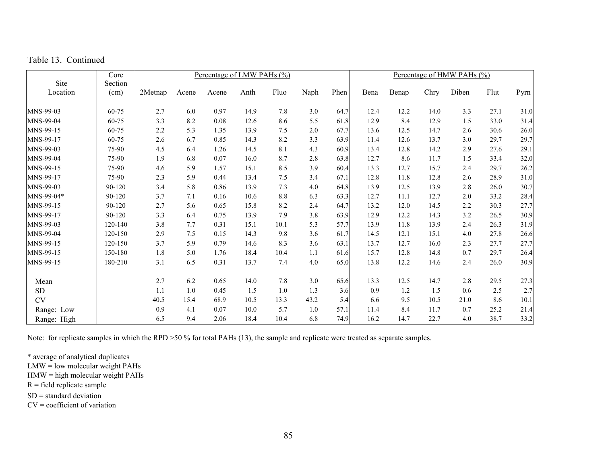|  | Table 13. Continued |  |
|--|---------------------|--|

|             | Core    |         |       | Percentage of LMW PAHs (%) |      |      |         |      |      |       |      | Percentage of HMW PAHs (%) |      |      |
|-------------|---------|---------|-------|----------------------------|------|------|---------|------|------|-------|------|----------------------------|------|------|
| Site        | Section |         |       |                            |      |      |         |      |      |       |      |                            |      |      |
| Location    | (cm)    | 2Metnap | Acene | Acene                      | Anth | Fluo | Naph    | Phen | Bena | Benap | Chry | Diben                      | Flut | Pyrn |
| MNS-99-03   | 60-75   | 2.7     | 6.0   | 0.97                       | 14.9 | 7.8  | 3.0     | 64.7 | 12.4 | 12.2  | 14.0 | 3.3                        | 27.1 | 31.0 |
| MNS-99-04   | 60-75   | 3.3     | 8.2   | 0.08                       | 12.6 | 8.6  | 5.5     | 61.8 | 12.9 | 8.4   | 12.9 | 1.5                        | 33.0 | 31.4 |
| MNS-99-15   | 60-75   | 2.2     | 5.3   | 1.35                       | 13.9 | 7.5  | $2.0\,$ | 67.7 | 13.6 | 12.5  | 14.7 | 2.6                        | 30.6 | 26.0 |
| MNS-99-17   | 60-75   | 2.6     | 6.7   | 0.85                       | 14.3 | 8.2  | 3.3     | 63.9 | 11.4 | 12.6  | 13.7 | 3.0                        | 29.7 | 29.7 |
| MNS-99-03   | 75-90   | 4.5     | 6.4   | 1.26                       | 14.5 | 8.1  | 4.3     | 60.9 | 13.4 | 12.8  | 14.2 | 2.9                        | 27.6 | 29.1 |
| MNS-99-04   | 75-90   | 1.9     | 6.8   | 0.07                       | 16.0 | 8.7  | 2.8     | 63.8 | 12.7 | 8.6   | 11.7 | 1.5                        | 33.4 | 32.0 |
| MNS-99-15   | 75-90   | 4.6     | 5.9   | 1.57                       | 15.1 | 8.5  | 3.9     | 60.4 | 13.3 | 12.7  | 15.7 | 2.4                        | 29.7 | 26.2 |
| MNS-99-17   | 75-90   | 2.3     | 5.9   | 0.44                       | 13.4 | 7.5  | 3.4     | 67.1 | 12.8 | 11.8  | 12.8 | 2.6                        | 28.9 | 31.0 |
| MNS-99-03   | 90-120  | 3.4     | 5.8   | 0.86                       | 13.9 | 7.3  | 4.0     | 64.8 | 13.9 | 12.5  | 13.9 | 2.8                        | 26.0 | 30.7 |
| MNS-99-04*  | 90-120  | 3.7     | 7.1   | 0.16                       | 10.6 | 8.8  | 6.3     | 63.3 | 12.7 | 11.1  | 12.7 | 2.0                        | 33.2 | 28.4 |
| MNS-99-15   | 90-120  | 2.7     | 5.6   | 0.65                       | 15.8 | 8.2  | 2.4     | 64.7 | 13.2 | 12.0  | 14.5 | 2.2                        | 30.3 | 27.7 |
| MNS-99-17   | 90-120  | 3.3     | 6.4   | 0.75                       | 13.9 | 7.9  | 3.8     | 63.9 | 12.9 | 12.2  | 14.3 | 3.2                        | 26.5 | 30.9 |
| MNS-99-03   | 120-140 | 3.8     | 7.7   | 0.31                       | 15.1 | 10.1 | 5.3     | 57.7 | 13.9 | 11.8  | 13.9 | 2.4                        | 26.3 | 31.9 |
| MNS-99-04   | 120-150 | 2.9     | 7.5   | 0.15                       | 14.3 | 9.8  | 3.6     | 61.7 | 14.5 | 12.1  | 15.1 | 4.0                        | 27.8 | 26.6 |
| MNS-99-15   | 120-150 | 3.7     | 5.9   | 0.79                       | 14.6 | 8.3  | 3.6     | 63.1 | 13.7 | 12.7  | 16.0 | 2.3                        | 27.7 | 27.7 |
| MNS-99-15   | 150-180 | 1.8     | 5.0   | 1.76                       | 18.4 | 10.4 | 1.1     | 61.6 | 15.7 | 12.8  | 14.8 | 0.7                        | 29.7 | 26.4 |
| MNS-99-15   | 180-210 | 3.1     | 6.5   | 0.31                       | 13.7 | 7.4  | 4.0     | 65.0 | 13.8 | 12.2  | 14.6 | 2.4                        | 26.0 | 30.9 |
| Mean        |         | 2.7     | 6.2   | 0.65                       | 14.0 | 7.8  | 3.0     | 65.6 | 13.3 | 12.5  | 14.7 | 2.8                        | 29.5 | 27.3 |
| ${\rm SD}$  |         | 1.1     | 1.0   | 0.45                       | 1.5  | 1.0  | 1.3     | 3.6  | 0.9  | 1.2   | 1.5  | 0.6                        | 2.5  | 2.7  |
| <b>CV</b>   |         | 40.5    | 15.4  | 68.9                       | 10.5 | 13.3 | 43.2    | 5.4  | 6.6  | 9.5   | 10.5 | 21.0                       | 8.6  | 10.1 |
| Range: Low  |         | 0.9     | 4.1   | 0.07                       | 10.0 | 5.7  | $1.0\,$ | 57.1 | 11.4 | 8.4   | 11.7 | 0.7                        | 25.2 | 21.4 |
| Range: High |         | 6.5     | 9.4   | 2.06                       | 18.4 | 10.4 | 6.8     | 74.9 | 16.2 | 14.7  | 22.7 | 4.0                        | 38.7 | 33.2 |

Note: for replicate samples in which the RPD >50 % for total PAHs (13), the sample and replicate were treated as separate samples.

\* average of analytical duplicates

LMW = low molecular weight PAHs

HMW = high molecular weight PAHs

 $R =$  field replicate sample

SD = standard deviation

 $CV = coefficient of variation$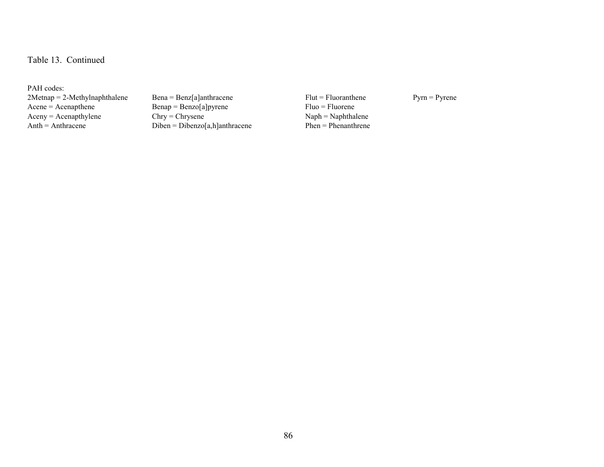PAH codes: 2Metnap = 2-Methylnaphthalene Bena = Benz[a]anthracene Flut = Fluoranthene Pyrn = Pyrene Rene = Acenapthene Benap = Benzo[a]pyrene Fluo = Fluorene Aceny = Acenapthylene Chry = Chrysene Naph = Naphthalene Naph = Naphthalene Naph = Naphthalene Naph = Naphthalene Naph = Naphthalene Naph = Naphthalene Naph = Naphthalene Naph = Naphthalene Naph = Naphthalene Naph = Naphth

 $\text{Benap} = \text{Benzo[a]pyrene}$   $\text{Fluo} = \text{Fluorene}$ <br>Chry = Chrysene  $\text{Naph} = \text{Naphthalene}$  $Diben = Dibenzo[a,h]anthracene$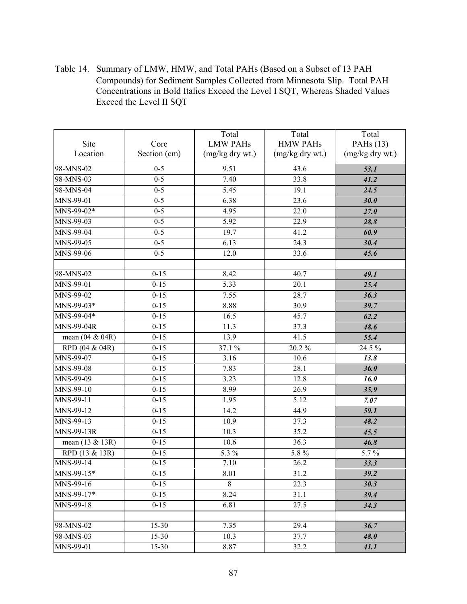Table 14. Summary of LMW, HMW, and Total PAHs (Based on a Subset of 13 PAH Compounds) for Sediment Samples Collected from Minnesota Slip. Total PAH Concentrations in Bold Italics Exceed the Level I SQT, Whereas Shaded Values Exceed the Level II SQT

|                         |              | Total           | Total           | Total           |
|-------------------------|--------------|-----------------|-----------------|-----------------|
| Site                    | Core         | <b>LMW PAHs</b> | <b>HMW PAHs</b> | PAHs $(13)$     |
| Location                | Section (cm) | (mg/kg dry wt.) | (mg/kg dry wt.) | (mg/kg dry wt.) |
| 98-MNS-02               | $0 - 5$      | 9.51            | 43.6            | 53.1            |
| 98-MNS-03               | $0 - 5$      | 7.40            | 33.8            | 41.2            |
| 98-MNS-04               | $0 - 5$      | 5.45            | 19.1            | 24.5            |
| MNS-99-01               | $0 - 5$      | 6.38            | 23.6            | 30.0            |
| MNS-99-02*              | $0 - 5$      | 4.95            | 22.0            | 27.0            |
| MNS-99-03               | $0-5$        | 5.92            | 22.9            | 28.8            |
| MNS-99-04               | $0 - 5$      | 19.7            | 41.2            | 60.9            |
| $MNS-99-05$             | $0 - 5$      | 6.13            | 24.3            | 30.4            |
| MNS-99-06               | $0 - 5$      | 12.0            | 33.6            | 45.6            |
|                         |              |                 |                 |                 |
| 98-MNS-02               | $0 - 15$     | 8.42            | 40.7            | 49.1            |
| MNS-99-01               | $0 - 15$     | 5.33            | 20.1            | 25.4            |
| MNS-99-02               | $0 - 15$     | 7.55            | 28.7            | 36.3            |
| MNS-99-03*              | $0 - 15$     | 8.88            | 30.9            | 39.7            |
| MNS-99-04*              | $0 - 15$     | 16.5            | 45.7            | 62.2            |
| MNS-99-04R              | $0 - 15$     | 11.3            | 37.3            | 48.6            |
| mean $(04 \& 04R)$      | $0 - 15$     | 13.9            | 41.5            | 55.4            |
| RPD (04 & 04R)          | $0 - 15$     | 37.1 %          | $20.2~\%$       | 24.5 %          |
| MNS-99-07               | $0 - 15$     | 3.16            | 10.6            | 13.8            |
| MNS-99-08               | $0 - 15$     | 7.83            | 28.1            | 36.0            |
| MNS-99-09               | $0 - 15$     | 3.23            | 12.8            | 16.0            |
| MNS-99-10               | $0 - 15$     | 8.99            | 26.9            | 35.9            |
| MNS-99-11               | $0 - 15$     | 1.95            | 5.12            | 7.07            |
| MNS-99-12               | $0 - 15$     | 14.2            | 44.9            | 59.1            |
| $MNS-99-13$             | $0 - 15$     | 10.9            | 37.3            | 48.2            |
| MNS-99-13R              | $0 - 15$     | 10.3            | 35.2            | 45.5            |
| mean (13 & 13R)         | $0 - 15$     | 10.6            | 36.3            | 46.8            |
| RPD (13 & 13R)          | $0 - 15$     | 5.3 %           | $5.8\,\%$       | 5.7%            |
| MNS-99-14               | $0 - 15$     | 7.10            | 26.2            | 33.3            |
| MNS-99-15*              | $0-15$       | 8.01            | 31.2            | 39.2            |
| MNS-99-16               | $0 - 15$     | $\overline{8}$  | 22.3            | 30.3            |
| $MNS-99-17*$            | $0 - 15$     | 8.24            | 31.1            | 39.4            |
| $\overline{M}$ NS-99-18 | $0 - 15$     | 6.81            | 27.5            | 34.3            |
|                         |              |                 |                 |                 |
| 98-MNS-02               | 15-30        | 7.35            | 29.4            | 36.7            |
| 98-MNS-03               | $15 - 30$    | 10.3            | 37.7            | <b>48.0</b>     |
| MNS-99-01               | 15-30        | 8.87            | 32.2            | 41.1            |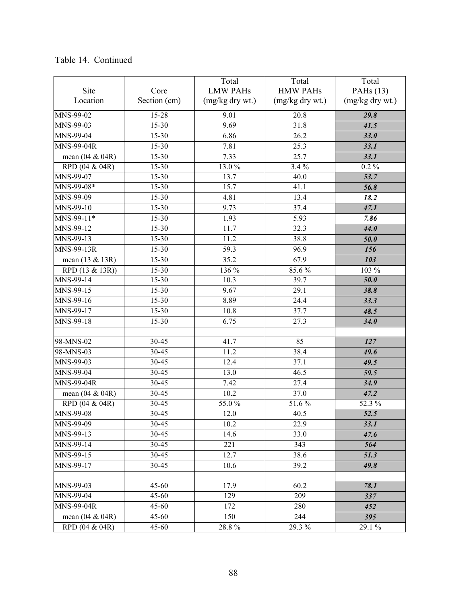|                    |              | Total             | Total             | Total           |
|--------------------|--------------|-------------------|-------------------|-----------------|
| Site               | Core         | <b>LMW PAHs</b>   | <b>HMW PAHs</b>   | PAHs (13)       |
| Location           | Section (cm) | (mg/kg dry wt.)   | $(mg/kg$ dry wt.) | (mg/kg dry wt.) |
| MNS-99-02          | 15-28        | 9.01              | 20.8              | 29.8            |
| MNS-99-03          | 15-30        | 9.69              | 31.8              | 41.5            |
| MNS-99-04          | 15-30        | 6.86              | 26.2              | 33.0            |
| MNS-99-04R         | 15-30        | 7.81              | 25.3              | 33.1            |
| mean (04 & 04R)    | 15-30        | 7.33              | 25.7              | 33.1            |
| RPD (04 & 04R)     | $15 - 30$    | 13.0%             | $3.4\%$           | $0.2\%$         |
| MNS-99-07          | 15-30        | 13.7              | 40.0              | 53.7            |
| MNS-99-08*         | 15-30        | 15.7              | 41.1              | 56.8            |
| MNS-99-09          | 15-30        | 4.81              | 13.4              | 18.2            |
| MNS-99-10          | 15-30        | 9.73              | 37.4              | 47.1            |
| $MNS-99-11*$       | 15-30        | 1.93              | 5.93              | 7.86            |
| MNS-99-12          | 15-30        | 11.7              | 32.3              | 44.0            |
| MNS-99-13          | $15-30$      | 11.2              | 38.8              | 50.0            |
| <b>MNS-99-13R</b>  | $15 - 30$    | $\overline{59.3}$ | 96.9              | 156             |
| mean (13 & 13R)    | 15-30        | 35.2              | 67.9              | 103             |
| RPD (13 & 13R))    | 15-30        | 136 %             | 85.6%             | 103 %           |
| MNS-99-14          | $15-30$      | 10.3              | 39.7              | 50.0            |
| MNS-99-15          | 15-30        | 9.67              | 29.1              | 38.8            |
| MNS-99-16          | 15-30        | 8.89              | 24.4              | 33.3            |
| MNS-99-17          | 15-30        | 10.8              | 37.7              | 48.5            |
| MNS-99-18          | $15 - 30$    | 6.75              | $\overline{27.3}$ | 34.0            |
|                    |              |                   |                   |                 |
| 98-MNS-02          | 30-45        | $\frac{1}{41.7}$  | 85                | 127             |
| 98-MNS-03          | 30-45        | 11.2              | 38.4              | 49.6            |
| MNS-99-03          | 30-45        | 12.4              | 37.1              | 49.5            |
| MNS-99-04          | 30-45        | 13.0              | 46.5              | 59.5            |
| <b>MNS-99-04R</b>  | 30-45        | 7.42              | 27.4              | 34.9            |
| mean (04 & 04R)    | 30-45        | 10.2              | 37.0              | 47.2            |
| RPD (04 & 04R)     | $30 - 45$    | 55.0%             | 51.6%             | 52.3 %          |
| MNS-99-08          | 30-45        | 12.0              | 40.5              | 52.5            |
| MNS-99-09          | $30 - 45$    | 10.2              | 22.9              | 33.1            |
| MNS-99-13          | $30 - 45$    | 14.6              | 33.0              | 47.6            |
| MNS-99-14          | $30 - 45$    | 221               | 343               | 564             |
| MNS-99-15          | $30 - 45$    | 12.7              | 38.6              | 51.3            |
| MNS-99-17          | 30-45        | 10.6              | 39.2              | 49.8            |
|                    |              |                   |                   |                 |
| MNS-99-03          | $45 - 60$    | 17.9              | 60.2              | 78.1            |
| MNS-99-04          | $45 - 60$    | 129               | 209               | 337             |
| MNS-99-04R         | $45 - 60$    | 172               | 280               | 452             |
| mean $(04 \& 04R)$ | $45 - 60$    | 150               | 244               | 395             |
| RPD (04 & 04R)     | $45 - 60$    | 28.8%             | 29.3%             | 29.1 %          |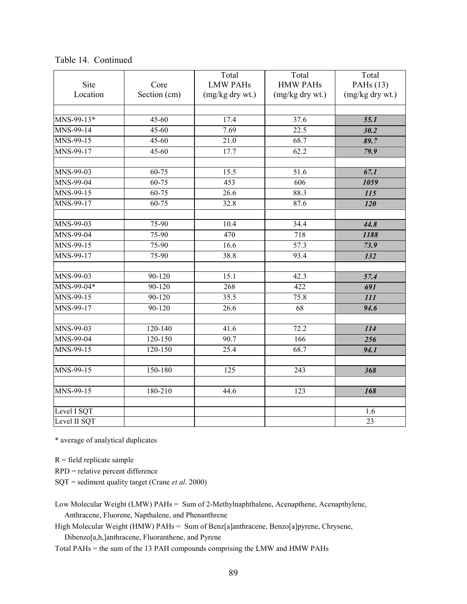| <b>Site</b>  | Core         | Total<br><b>LMW PAHs</b> | Total<br><b>HMW PAHs</b> | Total<br>PAH <sub>s</sub> (13) |
|--------------|--------------|--------------------------|--------------------------|--------------------------------|
| Location     | Section (cm) | (mg/kg dry wt.)          | (mg/kg dry wt.)          | (mg/kg dry wt.)                |
|              |              |                          |                          |                                |
| MNS-99-13*   | $45 - 60$    | 17.4                     | 37.6                     | 55.1                           |
| MNS-99-14    | 45-60        | 7.69                     | 22.5                     | 30.2                           |
| $MNS-99-15$  | 45-60        | 21.0                     | 68.7                     | 89.7                           |
| MNS-99-17    | 45-60        | 17.7                     | 62.2                     | 79.9                           |
| MNS-99-03    | $60 - 75$    | 15.5                     | 51.6                     | 67.1                           |
| MNS-99-04    | $60 - 75$    | 453                      | 606                      | 1059                           |
| MNS-99-15    | $60 - 75$    | $\overline{26.6}$        | 88.3                     | $\overline{115}$               |
| MNS-99-17    | 60-75        | 32.8                     | 87.6                     | 120                            |
| MNS-99-03    | 75-90        | 10.4                     | 34.4                     | 44.8                           |
| MNS-99-04    | 75-90        | 470                      | 718                      | 1188                           |
| MNS-99-15    | 75-90        | 16.6                     | $\overline{57.3}$        | 73.9                           |
| MNS-99-17    | 75-90        | 38.8                     | 93.4                     | 132                            |
| MNS-99-03    | 90-120       | 15.1                     | 42.3                     | 57.4                           |
| MNS-99-04*   | $90 - 120$   | 268                      | 422                      | 691                            |
| MNS-99-15    | $90 - 120$   | 35.5                     | 75.8                     | 111                            |
| MNS-99-17    | $90 - 120$   | 26.6                     | 68                       | 94.6                           |
| MNS-99-03    | $120 - 140$  | 41.6                     | 72.2                     | 114                            |
| MNS-99-04    | $120 - 150$  | 90.7                     | 166                      | 256                            |
| MNS-99-15    | 120-150      | 25.4                     | 68.7                     | 94.1                           |
| $MNS-99-15$  | 150-180      | 125                      | 243                      | 368                            |
| MNS-99-15    | 180-210      | 44.6                     | 123                      | 168                            |
|              |              |                          |                          |                                |
| Level I SQT  |              |                          |                          | 1.6                            |
| Level II SQT |              |                          |                          | $\overline{23}$                |

Table 14. Continued

\* average of analytical duplicates

 $R =$  field replicate sample

RPD = relative percent difference

SQT = sediment quality target (Crane *et al*. 2000)

Low Molecular Weight (LMW) PAHs = Sum of 2-Methylnaphthalene, Acenapthene, Acenapthylene, Anthracene, Fluorene, Napthalene, and Phenanthrene

High Molecular Weight (HMW) PAHs = Sum of Benz[a]anthracene, Benzo[a]pyrene, Chrysene, Dibenzo[a,h,]anthracene, Fluoranthene, and Pyrene

Total PAHs = the sum of the 13 PAH compounds comprising the LMW and HMW PAHs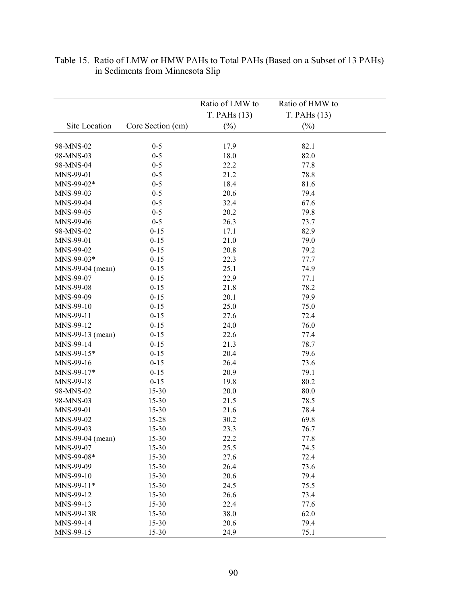|                    |                   | Ratio of LMW to       | Ratio of HMW to       |  |
|--------------------|-------------------|-----------------------|-----------------------|--|
| Site Location      | Core Section (cm) | T. PAHs(13)<br>$(\%)$ | T. PAHs(13)<br>$(\%)$ |  |
|                    |                   |                       |                       |  |
| 98-MNS-02          | $0-5$             | 17.9                  | 82.1                  |  |
| 98-MNS-03          | $0-5$             | 18.0                  | 82.0                  |  |
| 98-MNS-04          | $0-5$             | 22.2                  | 77.8                  |  |
| MNS-99-01          | $0-5$             | 21.2                  | 78.8                  |  |
| MNS-99-02*         | $0 - 5$           | 18.4                  | 81.6                  |  |
| MNS-99-03          | $0-5$             | 20.6                  | 79.4                  |  |
| MNS-99-04          | $0-5$             | 32.4                  | 67.6                  |  |
| MNS-99-05          | $0-5$             | 20.2                  | 79.8                  |  |
| MNS-99-06          | $0 - 5$           | 26.3                  | 73.7                  |  |
| 98-MNS-02          | $0 - 15$          | 17.1                  | 82.9                  |  |
| MNS-99-01          | $0 - 15$          | 21.0                  | 79.0                  |  |
| MNS-99-02          | $0 - 15$          | 20.8                  | 79.2                  |  |
| MNS-99-03*         | $0 - 15$          | 22.3                  | 77.7                  |  |
| MNS-99-04 (mean)   | $0 - 15$          | 25.1                  | 74.9                  |  |
| MNS-99-07          | $0 - 15$          | 22.9                  | 77.1                  |  |
| MNS-99-08          | $0 - 15$          | 21.8                  | 78.2                  |  |
| MNS-99-09          | $0 - 15$          | 20.1                  | 79.9                  |  |
| MNS-99-10          | $0 - 15$          | 25.0                  | 75.0                  |  |
| MNS-99-11          | $0 - 15$          | 27.6                  | 72.4                  |  |
| MNS-99-12          | $0 - 15$          | 24.0                  | 76.0                  |  |
| MNS-99-13 (mean)   | $0 - 15$          | 22.6                  | 77.4                  |  |
| MNS-99-14          | $0 - 15$          | 21.3                  | 78.7                  |  |
| $MNS-99-15*$       | $0 - 15$          | 20.4                  | 79.6                  |  |
| MNS-99-16          | $0 - 15$          | 26.4                  | 73.6                  |  |
| MNS-99-17*         | $0 - 15$          | 20.9                  | 79.1                  |  |
| MNS-99-18          | $0 - 15$          | 19.8                  | 80.2                  |  |
| 98-MNS-02          | $15 - 30$         | 20.0                  | 80.0                  |  |
| 98-MNS-03          | $15 - 30$         | 21.5                  | 78.5                  |  |
| MNS-99-01          | $15 - 30$         | 21.6                  | 78.4                  |  |
| MNS-99-02          | 15-28             | 30.2                  | 69.8                  |  |
| MNS-99-03          | 15-30             | 23.3                  | 76.7                  |  |
| $MNS-99-04$ (mean) | 15-30             | 22.2                  | 77.8                  |  |
| MNS-99-07          | 15-30             | 25.5                  | 74.5                  |  |
| MNS-99-08*         | 15-30             | 27.6                  | 72.4                  |  |
| MNS-99-09          | $15 - 30$         | 26.4                  | 73.6                  |  |
| MNS-99-10          | 15-30             | 20.6                  | 79.4                  |  |
| MNS-99-11*         | $15 - 30$         | 24.5                  | 75.5                  |  |
| MNS-99-12          | $15 - 30$         | 26.6                  | 73.4                  |  |
| MNS-99-13          | $15 - 30$         | 22.4                  | 77.6                  |  |
| MNS-99-13R         | 15-30             | 38.0                  | 62.0                  |  |
| MNS-99-14          | 15-30             | 20.6                  | 79.4                  |  |
| MNS-99-15          | 15-30             | 24.9                  | 75.1                  |  |

### Table 15. Ratio of LMW or HMW PAHs to Total PAHs (Based on a Subset of 13 PAHs) in Sediments from Minnesota Slip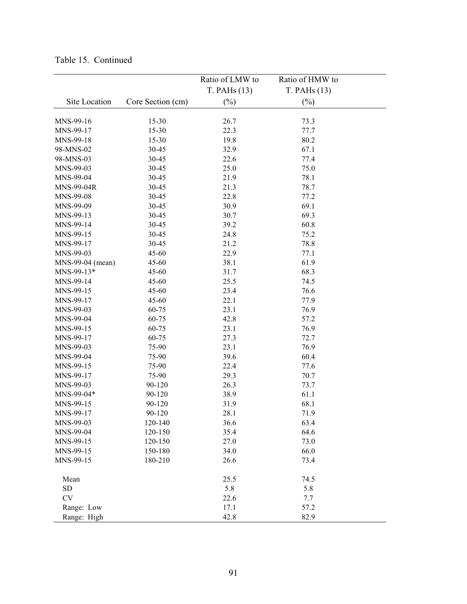|                  |                   | Ratio of LMW to | Ratio of HMW to |  |
|------------------|-------------------|-----------------|-----------------|--|
|                  |                   | T. PAHs(13)     | T. PAHs(13)     |  |
| Site Location    | Core Section (cm) | $(\%)$          | $(\%)$          |  |
|                  |                   |                 |                 |  |
| MNS-99-16        | $15 - 30$         | 26.7            | 73.3            |  |
| MNS-99-17        | $15 - 30$         | 22.3            | 77.7            |  |
| MNS-99-18        | $15 - 30$         | 19.8            | 80.2            |  |
| 98-MNS-02        | 30-45             | 32.9            | 67.1            |  |
| 98-MNS-03        | 30-45             | 22.6            | 77.4            |  |
| MNS-99-03        | 30-45             | 25.0            | 75.0            |  |
| MNS-99-04        | 30-45             | 21.9            | 78.1            |  |
| MNS-99-04R       | 30-45             | 21.3            | 78.7            |  |
| MNS-99-08        | 30-45             | 22.8            | 77.2            |  |
| MNS-99-09        | 30-45             | 30.9            | 69.1            |  |
| MNS-99-13        | 30-45             | 30.7            | 69.3            |  |
| MNS-99-14        | $30 - 45$         | 39.2            | 60.8            |  |
| MNS-99-15        | 30-45             | 24.8            | 75.2            |  |
| MNS-99-17        | 30-45             | 21.2            | 78.8            |  |
| MNS-99-03        | $45 - 60$         | 22.9            | 77.1            |  |
| MNS-99-04 (mean) | $45 - 60$         | 38.1            | 61.9            |  |
| MNS-99-13*       | 45-60             | 31.7            | 68.3            |  |
| MNS-99-14        | 45-60             | 25.5            | 74.5            |  |
| MNS-99-15        | 45-60             | 23.4            | 76.6            |  |
| MNS-99-17        | 45-60             | 22.1            | 77.9            |  |
| MNS-99-03        | 60-75             | 23.1            | 76.9            |  |
| MNS-99-04        | 60-75             | 42.8            | 57.2            |  |
| MNS-99-15        | 60-75             | 23.1            | 76.9            |  |
| MNS-99-17        | 60-75             | 27.3            | 72.7            |  |
| MNS-99-03        | 75-90             | 23.1            | 76.9            |  |
| MNS-99-04        | 75-90             | 39.6            | 60.4            |  |
| MNS-99-15        | 75-90             | 22.4            | 77.6            |  |
| MNS-99-17        | 75-90             | 29.3            | 70.7            |  |
| MNS-99-03        | 90-120            | 26.3            | 73.7            |  |
| MNS-99-04*       | 90-120            | 38.9            | 61.1            |  |
| MNS-99-15        | 90-120            | 31.9            | 68.1            |  |
| MNS-99-17        | 90-120            | 28.1            | 71.9            |  |
| MNS-99-03        | 120-140           | 36.6            | 63.4            |  |
| MNS-99-04        | 120-150           | 35.4            | 64.6            |  |
| MNS-99-15        | 120-150           | 27.0            | 73.0            |  |
| MNS-99-15        | 150-180           | 34.0            | 66.0            |  |
| MNS-99-15        | 180-210           | 26.6            | 73.4            |  |
| Mean             |                   | 25.5            | 74.5            |  |
| SD               |                   | 5.8             | 5.8             |  |
| CV               |                   | 22.6            | 7.7             |  |
| Range: Low       |                   | 17.1            | 57.2            |  |
| Range: High      |                   | 42.8            | 82.9            |  |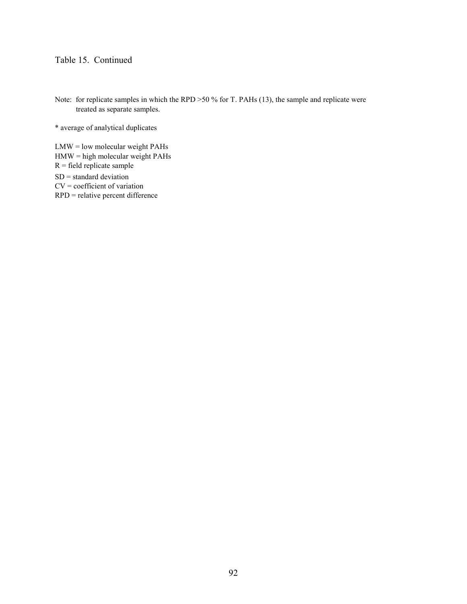Note: for replicate samples in which the RPD >50 % for T. PAHs (13), the sample and replicate were treated as separate samples.

\* average of analytical duplicates

LMW = low molecular weight PAHs  $HMW = high molecular weight PAHs$  $R$  = field replicate sample SD = standard deviation CV = coefficient of variation RPD = relative percent difference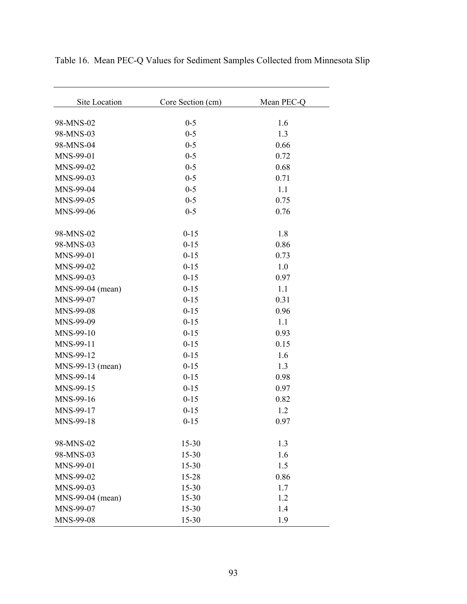| <b>Site Location</b> | Core Section (cm) | Mean PEC-Q |
|----------------------|-------------------|------------|
| 98-MNS-02            | $0 - 5$           | 1.6        |
| 98-MNS-03            | $0 - 5$           | 1.3        |
| 98-MNS-04            | $0 - 5$           | 0.66       |
| MNS-99-01            | $0 - 5$           | 0.72       |
| MNS-99-02            | $0 - 5$           | 0.68       |
| MNS-99-03            | $0 - 5$           | 0.71       |
| MNS-99-04            | $0 - 5$           | 1.1        |
| MNS-99-05            | $0 - 5$           | 0.75       |
| MNS-99-06            | $0 - 5$           | 0.76       |
| 98-MNS-02            | $0 - 15$          | 1.8        |
| 98-MNS-03            | $0 - 15$          | 0.86       |
| MNS-99-01            | $0 - 15$          | 0.73       |
| MNS-99-02            | $0 - 15$          | 1.0        |
| MNS-99-03            | $0 - 15$          | 0.97       |
| MNS-99-04 (mean)     | $0 - 15$          | 1.1        |
| MNS-99-07            | $0 - 15$          | 0.31       |
| MNS-99-08            | $0 - 15$          | 0.96       |
| MNS-99-09            | $0 - 15$          | 1.1        |
| MNS-99-10            | $0 - 15$          | 0.93       |
| MNS-99-11            | $0 - 15$          | 0.15       |
| MNS-99-12            | $0 - 15$          | 1.6        |
| MNS-99-13 (mean)     | $0 - 15$          | 1.3        |
| MNS-99-14            | $0 - 15$          | 0.98       |
| MNS-99-15            | $0 - 15$          | 0.97       |
| MNS-99-16            | $0 - 15$          | 0.82       |
| MNS-99-17            | $0 - 15$          | 1.2        |
| MNS-99-18            | $0 - 15$          | 0.97       |
| 98-MNS-02            | 15-30             | 1.3        |
| 98-MNS-03            | 15-30             | 1.6        |
| MNS-99-01            | $15 - 30$         | 1.5        |
| MNS-99-02            | 15-28             | 0.86       |
| MNS-99-03            | $15 - 30$         | 1.7        |
| MNS-99-04 (mean)     | $15 - 30$         | 1.2        |
| MNS-99-07            | 15-30             | 1.4        |
| MNS-99-08            | 15-30             | 1.9        |

Table 16. Mean PEC-Q Values for Sediment Samples Collected from Minnesota Slip

 $\overline{\phantom{a}}$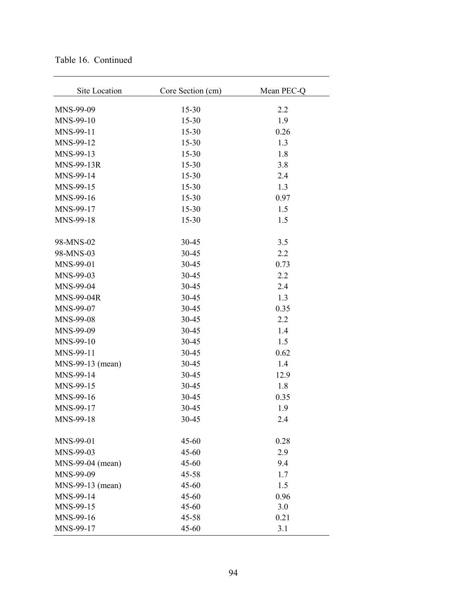| Site Location     | Core Section (cm) | Mean PEC-Q |
|-------------------|-------------------|------------|
| MNS-99-09         | $15 - 30$         | 2.2        |
| MNS-99-10         | $15 - 30$         | 1.9        |
| MNS-99-11         | $15 - 30$         | 0.26       |
| MNS-99-12         | $15 - 30$         | 1.3        |
| MNS-99-13         | $15 - 30$         | 1.8        |
| MNS-99-13R        | $15 - 30$         | 3.8        |
| MNS-99-14         | $15 - 30$         | 2.4        |
| MNS-99-15         | $15 - 30$         | 1.3        |
| MNS-99-16         | $15 - 30$         | 0.97       |
| MNS-99-17         | $15 - 30$         | 1.5        |
| MNS-99-18         | $15 - 30$         | 1.5        |
| 98-MNS-02         | 30-45             | 3.5        |
| 98-MNS-03         | 30-45             | 2.2        |
| MNS-99-01         | 30-45             | 0.73       |
| MNS-99-03         | 30-45             | 2.2        |
| MNS-99-04         | 30-45             | 2.4        |
| <b>MNS-99-04R</b> | 30-45             | 1.3        |
| MNS-99-07         | 30-45             | 0.35       |
| MNS-99-08         | 30-45             | 2.2        |
| MNS-99-09         | 30-45             | 1.4        |
| MNS-99-10         | 30-45             | 1.5        |
| MNS-99-11         | 30-45             | 0.62       |
| MNS-99-13 (mean)  | 30-45             | 1.4        |
| MNS-99-14         | 30-45             | 12.9       |
| MNS-99-15         | 30-45             | 1.8        |
| MNS-99-16         | 30-45             | 0.35       |
| MNS-99-17         | 30-45             | 1.9        |
| MNS-99-18         | 30-45             | 2.4        |
| MNS-99-01         | 45-60             | 0.28       |
| MNS-99-03         | 45-60             | 2.9        |
| MNS-99-04 (mean)  | $45 - 60$         | 9.4        |
| MNS-99-09         | $45 - 58$         | 1.7        |
| MNS-99-13 (mean)  | $45 - 60$         | 1.5        |
| MNS-99-14         | 45-60             | 0.96       |
| MNS-99-15         | $45 - 60$         | 3.0        |
| MNS-99-16         | $45 - 58$         | 0.21       |
| MNS-99-17         | 45-60             | 3.1        |

Table 16. Continued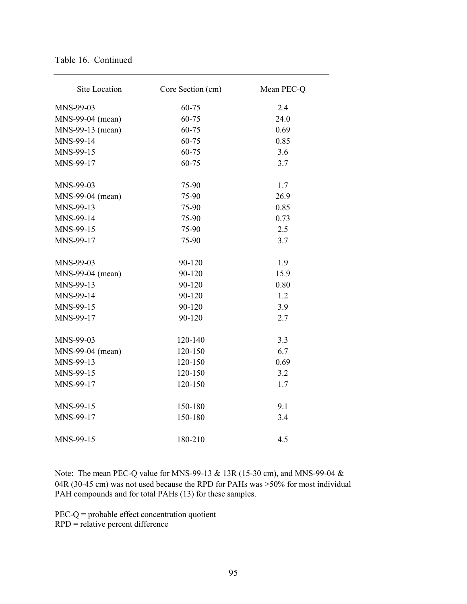| Site Location    | Core Section (cm) | Mean PEC-Q |
|------------------|-------------------|------------|
| MNS-99-03        | 60-75             | 2.4        |
| MNS-99-04 (mean) | 60-75             | 24.0       |
| MNS-99-13 (mean) | 60-75             | 0.69       |
| MNS-99-14        | 60-75             | 0.85       |
| MNS-99-15        | 60-75             | 3.6        |
| MNS-99-17        | 60-75             | 3.7        |
| MNS-99-03        | 75-90             | 1.7        |
| MNS-99-04 (mean) | 75-90             | 26.9       |
| MNS-99-13        | 75-90             | 0.85       |
| MNS-99-14        | 75-90             | 0.73       |
| MNS-99-15        | 75-90             | 2.5        |
| MNS-99-17        | 75-90             | 3.7        |
| MNS-99-03        | 90-120            | 1.9        |
| MNS-99-04 (mean) | 90-120            | 15.9       |
| MNS-99-13        | 90-120            | 0.80       |
| MNS-99-14        | 90-120            | 1.2        |
| MNS-99-15        | 90-120            | 3.9        |
| MNS-99-17        | 90-120            | 2.7        |
| MNS-99-03        | 120-140           | 3.3        |
| MNS-99-04 (mean) | 120-150           | 6.7        |
| MNS-99-13        | 120-150           | 0.69       |
| MNS-99-15        | 120-150           | 3.2        |
| MNS-99-17        | 120-150           | 1.7        |
| MNS-99-15        | 150-180           | 9.1        |
| MNS-99-17        | 150-180           | 3.4        |
| MNS-99-15        | 180-210           | 4.5        |

Note: The mean PEC-Q value for MNS-99-13 & 13R (15-30 cm), and MNS-99-04 & 04R (30-45 cm) was not used because the RPD for PAHs was >50% for most individual PAH compounds and for total PAHs (13) for these samples.

PEC-Q = probable effect concentration quotient

RPD = relative percent difference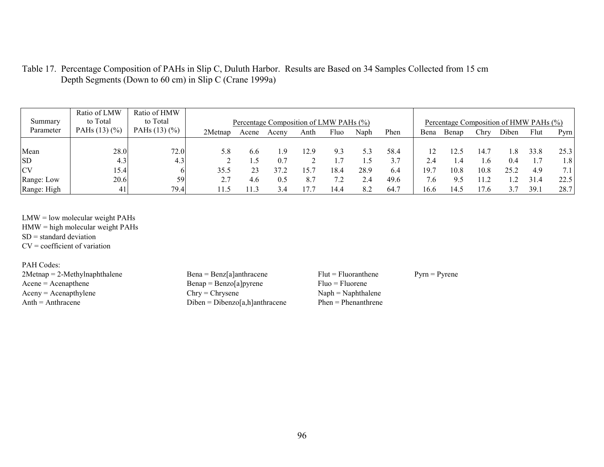| Table 17. Percentage Composition of PAHs in Slip C, Duluth Harbor. Results are Based on 34 Samples Collected from 15 cm |  |
|-------------------------------------------------------------------------------------------------------------------------|--|
| Depth Segments (Down to 60 cm) in Slip C (Crane 1999a)                                                                  |  |

| Summary<br>Parameter | Ratio of LMW<br>to Total<br>PAHs $(13)(%$ | Ratio of HMW<br>to Total<br>PAHs $(13)(%$ | 2Metnap | Acene | Percentage Composition of LMW PAHs (%)<br>Aceny | Anth | Fluo | Naph | Phen | Bena | Percentage Composition of HMW PAHs (%)<br>Benap | Chry    | Diben  | Flut | Pyrn          |
|----------------------|-------------------------------------------|-------------------------------------------|---------|-------|-------------------------------------------------|------|------|------|------|------|-------------------------------------------------|---------|--------|------|---------------|
|                      |                                           |                                           |         |       |                                                 |      |      |      |      |      |                                                 |         |        |      |               |
| Mean                 | 28.0                                      | 72.0                                      |         | 6.6   | q                                               | 12.9 | 9.3  | 5.3  | 58.4 |      |                                                 | 14.7    | $.8\,$ | 33.8 | 25.3          |
| <b>SD</b>            | 4.3                                       | 4.3                                       |         |       | 0.7                                             |      |      |      | 3.7  |      |                                                 | $\cdot$ | 0.4    | 1.7  | $1.8^{\circ}$ |
| <b>CV</b>            | 15.4                                      |                                           | 35.5    | 23    |                                                 | 15.7 | 18.4 | 28.9 | 6.4  | 19.1 | 10.8                                            | 10.8    | 25.2   | 4.9  |               |
| Range: Low           | 20.6                                      | 59                                        | 2.7     | 4.6   | 0.5                                             | 8.7  |      | 2.4  | 49.6 | 7.6  | 9.5                                             | 11.2    |        | 31.4 | 22.5          |
| Range: High          | 41                                        | 79.4                                      |         | 13    |                                                 |      | 14.4 | 8.2  | 64.7 | 16.6 | 14.5                                            | 17.6    | 3.7    | 39.  | 28.7          |

LMW = low molecular weight PAHs  $HMW = high molecular weight PAHs$  $SD = standard deviation$ CV = coefficient of variation

PAH Codes: 2Metnap = 2-Methylnaphthalene Bena = Benz[a]anthracene Flut = Fluoranthene Pyrn = Pyrene <br>Acene = Acenapthene Bena = Benzo[a]pyrene Fluo = Fluorene Aceny = Acenapthylene Chry = Chrysene Naph = Naphthalene Anth = Anthracene Naph = Naphthalene Naph = Naphthalene Naph = Naphthalene Naph = Naphthalene Naph = Naphthalene Naph = Naphthalene Naph = Naphthalene Naph = Naphtha

 $\text{Benap} = \text{Benzo[a]} \text{pyrene}$   $\text{Fluo} = \text{Fluorene}$ <br>Chry = Chrysene  $\text{Naph} = \text{Naphthal}$  $Diben = Dibenzo[a,h]anthracene$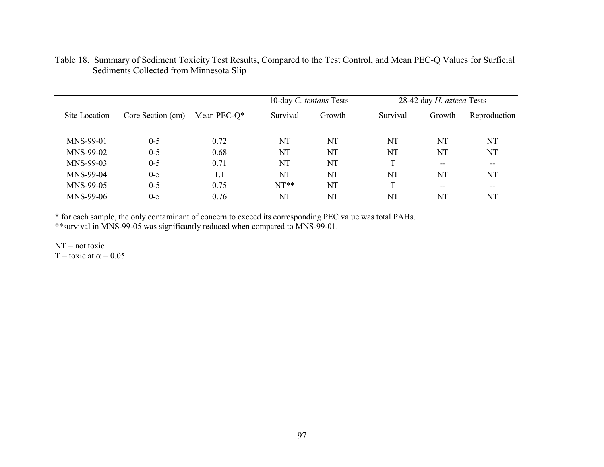|               |                   |                 | 10-day C. tentans Tests |        |          | 28-42 day H. azteca Tests |              |
|---------------|-------------------|-----------------|-------------------------|--------|----------|---------------------------|--------------|
| Site Location | Core Section (cm) | Mean PEC- $Q^*$ | Survival                | Growth | Survival | Growth                    | Reproduction |
|               |                   |                 |                         |        |          |                           |              |
| MNS-99-01     | $0 - 5$           | 0.72            | NT                      | NT     | NT       | NT                        | NT           |
| MNS-99-02     | $0 - 5$           | 0.68            | NT                      | NT     | NT       | NT                        | NT           |
| MNS-99-03     | $0 - 5$           | 0.71            | NT                      | NT     | T        | $- -$                     | $- -$        |
| MNS-99-04     | $0 - 5$           | 1.1             | NT                      | NT     | NT       | NT                        | NT           |
| MNS-99-05     | $0 - 5$           | 0.75            | $NT**$                  | NT     | T        | $- -$                     | $- -$        |
| MNS-99-06     | $0 - 5$           | 0.76            | NT                      | NT     | NT       | NT                        | NT           |

### Table 18. Summary of Sediment Toxicity Test Results, Compared to the Test Control, and Mean PEC-Q Values for Surficial Sediments Collected from Minnesota Slip

\* for each sample, the only contaminant of concern to exceed its corresponding PEC value was total PAHs. \*\*survival in MNS-99-05 was significantly reduced when compared to MNS-99-01.

 $NT = not toxic$  $T =$ toxic at  $\alpha = 0.05$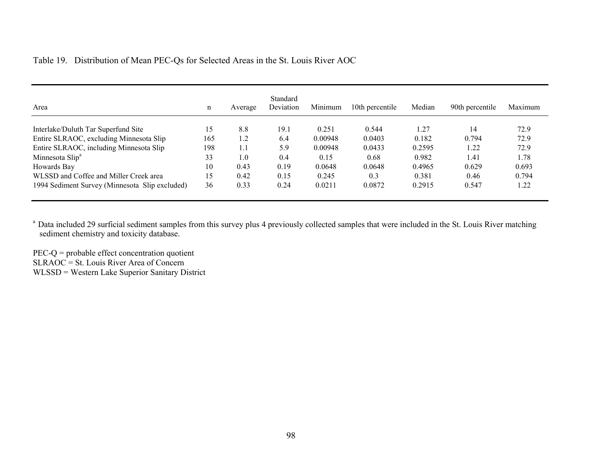| Area                                           | n   | Average | Standard<br>Deviation | Minimum | 10th percentile | Median | 90th percentile | Maximum |
|------------------------------------------------|-----|---------|-----------------------|---------|-----------------|--------|-----------------|---------|
| Interlake/Duluth Tar Superfund Site            | 15  | 8.8     | 19.1                  | 0.251   | 0.544           | 1.27   | 14              | 72.9    |
| Entire SLRAOC, excluding Minnesota Slip        | 165 | 1.2     | 6.4                   | 0.00948 | 0.0403          | 0.182  | 0.794           | 72.9    |
| Entire SLRAOC, including Minnesota Slip        | 198 | 1.1     | 5.9                   | 0.00948 | 0.0433          | 0.2595 | 22              | 72.9    |
| Minnesota Slip <sup>a</sup>                    | 33  | 1.0     | 0.4                   | 0.15    | 0.68            | 0.982  | 1.41            | 1.78    |
| Howards Bay                                    | 10  | 0.43    | 0.19                  | 0.0648  | 0.0648          | 0.4965 | 0.629           | 0.693   |
| WLSSD and Coffee and Miller Creek area         | 15  | 0.42    | 0.15                  | 0.245   | 0.3             | 0.381  | 0.46            | 0.794   |
| 1994 Sediment Survey (Minnesota Slip excluded) | 36  | 0.33    | 0.24                  | 0.0211  | 0.0872          | 0.2915 | 0.547           | 1.22    |

Table 19. Distribution of Mean PEC-Qs for Selected Areas in the St. Louis River AOC

<sup>a</sup> Data included 29 surficial sediment samples from this survey plus 4 previously collected samples that were included in the St. Louis River matching sediment chemistry and toxicity database.

PEC-Q = probable effect concentration quotient SLRAOC = St. Louis River Area of Concern WLSSD = Western Lake Superior Sanitary District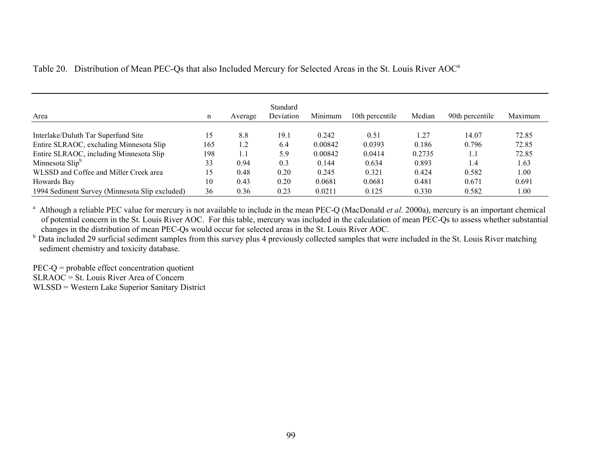| Area                                           | n   | Average | Standard<br>Deviation | Minimum | 10th percentile | Median | 90th percentile | Maximum |
|------------------------------------------------|-----|---------|-----------------------|---------|-----------------|--------|-----------------|---------|
| Interlake/Duluth Tar Superfund Site            | 15  | 8.8     | 19.1                  | 0.242   | 0.51            | 1.27   | 14.07           | 72.85   |
| Entire SLRAOC, excluding Minnesota Slip        | 165 | 1.2     | 6.4                   | 0.00842 | 0.0393          | 0.186  | 0.796           | 72.85   |
| Entire SLRAOC, including Minnesota Slip        | 198 | 1.1     | 5.9                   | 0.00842 | 0.0414          | 0.2735 | 1.1             | 72.85   |
| Minnesota Slip <sup>b</sup>                    | 33  | 0.94    | 0.3                   | 0.144   | 0.634           | 0.893  | 1.4             | 1.63    |
| WLSSD and Coffee and Miller Creek area         | 15  | 0.48    | 0.20                  | 0.245   | 0.321           | 0.424  | 0.582           | 00.1    |
| Howards Bay                                    | 10  | 0.43    | 0.20                  | 0.0681  | 0.0681          | 0.481  | 0.671           | 0.691   |
| 1994 Sediment Survey (Minnesota Slip excluded) | 36  | 0.36    | 0.23                  | 0.0211  | 0.125           | 0.330  | 0.582           | 00.1    |

Table 20. Distribution of Mean PEC-Qs that also Included Mercury for Selected Areas in the St. Louis River AOC<sup>a</sup>

<sup>a</sup> Although a reliable PEC value for mercury is not available to include in the mean PEC-Q (MacDonald *et al.* 2000a), mercury is an important chemical of potential concern in the St. Louis River AOC. For this table, mercury was included in the calculation of mean PEC-Qs to assess whether substantial changes in the distribution of mean PEC-Qs would occur for selected areas in the St. Louis River AOC.

<sup>b</sup> Data included 29 surficial sediment samples from this survey plus 4 previously collected samples that were included in the St. Louis River matching sediment chemistry and toxicity database.

 $PEC-Q =$  probable effect concentration quotient  $SLRAOC = St.$  Louis River Area of Concern WLSSD = Western Lake Superior Sanitary District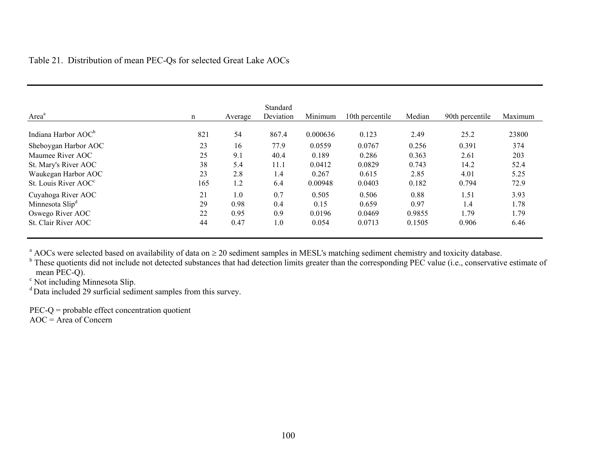| Area <sup>a</sup>                | n   | Average | Standard<br>Deviation | Minimum  | 10th percentile | Median | 90th percentile | Maximum |
|----------------------------------|-----|---------|-----------------------|----------|-----------------|--------|-----------------|---------|
| Indiana Harbor AOC <sup>b</sup>  | 821 | 54      | 867.4                 | 0.000636 | 0.123           | 2.49   | 25.2            | 23800   |
| Sheboygan Harbor AOC             | 23  | 16      | 77.9                  | 0.0559   | 0.0767          | 0.256  | 0.391           | 374     |
| Maumee River AOC                 | 25  | 9.1     | 40.4                  | 0.189    | 0.286           | 0.363  | 2.61            | 203     |
| St. Mary's River AOC             | 38  | 5.4     | 11.1                  | 0.0412   | 0.0829          | 0.743  | 14.2            | 52.4    |
| Waukegan Harbor AOC              | 23  | 2.8     | 1.4                   | 0.267    | 0.615           | 2.85   | 4.01            | 5.25    |
| St. Louis River AOC <sup>c</sup> | 165 | 1.2     | 6.4                   | 0.00948  | 0.0403          | 0.182  | 0.794           | 72.9    |
| Cuyahoga River AOC               | 21  | 1.0     | 0.7                   | 0.505    | 0.506           | 0.88   | 1.51            | 3.93    |
| Minnesota Slip <sup>d</sup>      | 29  | 0.98    | 0.4                   | 0.15     | 0.659           | 0.97   | 1.4             | 1.78    |
| Oswego River AOC                 | 22  | 0.95    | 0.9                   | 0.0196   | 0.0469          | 0.9855 | 1.79            | . 79    |
| St. Clair River AOC              | 44  | 0.47    | 1.0                   | 0.054    | 0.0713          | 0.1505 | 0.906           | 6.46    |

 $^{\text{a}}$  AOCs were selected based on availability of data on  $\geq 20$  sediment samples in MESL's matching sediment chemistry and toxicity database.

<sup>b</sup> These quotients did not include not detected substances that had detection limits greater than the corresponding PEC value (i.e., conservative estimate of mean PEC-Q).

<sup>c</sup> Not including Minnesota Slip.

<sup>d</sup> Data included 29 surficial sediment samples from this survey.

PEC-Q = probable effect concentration quotient

 $AOC = Area of Concern$